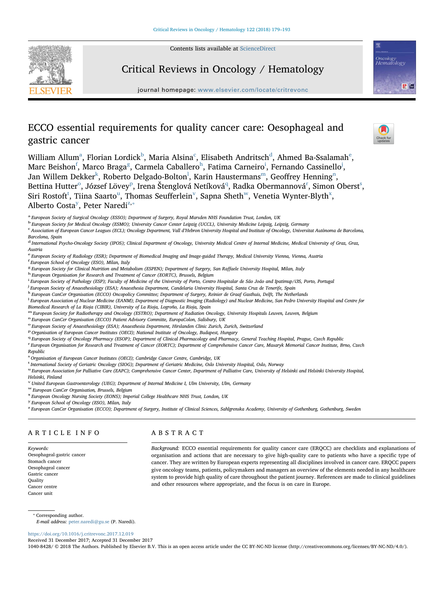Contents lists available at [ScienceDirect](http://www.sciencedirect.com/science/journal/10408428)

Critical Reviews in Oncology / Hematology



# Oncology<br>Hematology  $5^{\circ}$   $\approx$

## journal homepage: [www.elsevier.com/locate/critrevonc](https://www.elsevier.com/locate/critrevonc)

### ECCO essential requirements for quality cancer care: Oesophageal and gastric cancer

Willi[a](#page-0-0)m Allum $\mathrm{^a,}$  Florian Lordi[c](#page-0-2)k $\mathrm{^b,}$  $\mathrm{^b,}$  $\mathrm{^b,}$  Maria Alsina $\mathrm{^c,}$  Elisabeth An[d](#page-0-3)ritsch $\mathrm{^d,}$  Ahm[e](#page-0-4)d Ba-Ssalamah $\mathrm{^e,}$ Marc Beishon<sup>[f](#page-0-5)</sup>, Marco Bra[g](#page-0-6)a<sup>s</sup>, Carmela Caballero<sup>[h](#page-0-7)</sup>, Fat[i](#page-0-8)ma Carneiro<sup>i</sup>, Fernando Cassinello<sup>[j](#page-0-9)</sup>, Jan Willem De[k](#page-0-10)ker<sup>k</sup>, Roberto De[l](#page-0-11)gado-Bolton<sup>1</sup>, Karin Haustermans<sup>m</sup>, Geoffrey Henning<sup>n</sup>, Bettina Hutte[r](#page-0-17) $^{\rm o}$  $^{\rm o}$  $^{\rm o}$ , Józ[s](#page-0-18)ef Lövey $^{\rm p}$  $^{\rm p}$  $^{\rm p}$ , Irena Štenglová Netíková $^{\rm q}$  $^{\rm q}$  $^{\rm q}$ , Radka Obermannová $^{\rm r}$ , Simon Oberst $^{\rm s}$ , Siri Ros[t](#page-0-19)oft<s[u](#page-0-20)p>t</sup>, Tiina Saarto<sup>u</sup>, Thomas Seufferlein<sup>[v](#page-0-21)</sup>, Sapna Sheth<sup>[w](#page-0-22)</sup>, Venetia Wynter-Blyth<sup>x</sup>, Alberto Costa<sup>[y](#page-0-24)</sup>, Peter Naredi<sup>[z,](#page-0-25)\*</sup>

- <span id="page-0-1"></span><sup>b</sup> European Society for Medical Oncology (ESMO); University Cancer Center Leipzig (UCCL), University Medicine Leipzig, Leipzig, Germany
- <span id="page-0-2"></span>c Association of European Cancer Leagues (ECL); Oncology Department, Vall d'Hebron University Hospital and Institute of Oncology, Universitat Autònoma de Barcelona, Barcelona, Spain
- <span id="page-0-3"></span><sup>d</sup> International Psycho-Oncology Society (IPOS); Clinical Department of Oncology, University Medical Centre of Internal Medicine, Medical University of Graz, Graz, Austria
- <span id="page-0-4"></span>e European Society of Radiology (ESR); Department of Biomedical Imaging and Image-guided Therapy, Medical University Vienna, Vienna, Austria
- <span id="page-0-5"></span>f European School of Oncology (ESO), Milan, Italy
- <span id="page-0-7"></span><span id="page-0-6"></span> ${}^8$  European Society for Clinical Nutrition and Metabolism (ESPEN); Department of Surgery, San Raffaele University Hospital, Milan, Italy h European Organisation for Research and Treatment of Cancer (EORTC), Brussels, B
- 
- <span id="page-0-8"></span>i European Society of Pathology (ESP); Faculty of Medicine of the University of Porto, Centro Hospitalar de São João and Ipatimup/i3S, Porto, Portugal<br>I European Society of Angesthesiology (ESA): Angesthesia Department, Ca
- <span id="page-0-9"></span><sup>j</sup> European Society of Anaesthesiology (ESA); Anaesthesia Department, Candelaria University Hospital, Santa Cruz de Tenerife, Spain
- <span id="page-0-10"></span>k European CanCer Organisation (ECCO) Oncopolicy Committee; Department of Surgery, Reinier de Graaf Gasthuis, Delft, The Netherlands
- <span id="page-0-11"></span><sup>1</sup> European Association of Nuclear Medicine (EANM); Department of Diagnostic Imaging (Radiology) and Nuclear Medicine, San Pedro University Hospital and Centre for Biomedical Research of La Rioja (CIBIR), University of La Rioja, Logroño, La Rioja, Spain
- <span id="page-0-12"></span>m European Society for Radiotherapy and Oncology (ESTRO); Department of Radiation Oncology, University Hospitals Leuven, Leuven, Belgium n European CanCer Organisation (ECCO) Patient Advisory Committe, EuropaColon, Salisbu

<span id="page-0-13"></span>

<span id="page-0-14"></span><sup>o</sup> European Society of Anaesthesiology (ESA); Anaesthesia Department, Hirslanden Clinic Zurich, Zurich, Switzerland

- <span id="page-0-15"></span><sup>p</sup> Organisation of European Cancer Institutes (OECI); National Institute of Oncology, Budapest, Hungary
- <span id="page-0-16"></span><sup>q</sup> European Society of Oncology Pharmacy (ESOP); Department of Clinical Pharmacology and Pharmacy, General Teaching Hospital, Prague, Czech Republic

<span id="page-0-17"></span>r European Organisation for Research and Treatment of Cancer (EORTC); Department of Comprehensive Cancer Care, Masaryk Memorial Cancer Institute, Brno, Czech Republic

<span id="page-0-18"></span><sub>s</sub><br><sup>s</sup> Organisation of European Cancer Institutes (OECI); Cambridge Cancer Centre, Cambridge, UK

<span id="page-0-19"></span><sup>t</sup> International Society of Geriatric Oncology (SIOG); Department of Geriatric Medicine, Oslo University Hospital, Oslo, Norway

<span id="page-0-20"></span>u European Association for Palliative Care (EAPC); Comprehensive Cancer Center, Department of Palliative Care, University of Helsinki and Helsinki University Hospital, Helsinki, Finland

<span id="page-0-21"></span><sup>v</sup> United European Gastroenterology (UEG); Department of Internal Medicine I, Ulm University, Ulm, Germany

<span id="page-0-22"></span>

<span id="page-0-23"></span> $\rm{w}$  European CanCer Organisation, Brussels, Belgium<br> $\rm{x}$  European Oncology Nursing Society (EONS); Imperial College Healthcare NHS Trust, London, UK

<span id="page-0-24"></span><sup>y</sup> European School of Oncology (ESO), Milan, Italy

<span id="page-0-25"></span>z European CanCer Organisation (ECCO); Department of Surgery, Institute of Clinical Sciences, Sahlgrenska Academy, University of Gothenburg, Gothenburg, Sweden

#### ARTICLE INFO

ABSTRACT

Keywords: Oesophageal-gastric cancer Stomach cancer Oesophageal cancer Gastric cancer **Ouality** Cancer centre Cancer unit

Background: ECCO essential requirements for quality cancer care (ERQCC) are checklists and explanations of organisation and actions that are necessary to give high-quality care to patients who have a specific type of cancer. They are written by European experts representing all disciplines involved in cancer care. ERQCC papers give oncology teams, patients, policymakers and managers an overview of the elements needed in any healthcare system to provide high quality of care throughout the patient journey. References are made to clinical guidelines and other resources where appropriate, and the focus is on care in Europe.

<span id="page-0-26"></span>⁎ Corresponding author.

E-mail address: [peter.naredi@gu.se](mailto:peter.naredi@gu.se) (P. Naredi).

<https://doi.org/10.1016/j.critrevonc.2017.12.019>

Received 31 December 2017; Accepted 31 December 2017

1040-8428/ © 2018 The Authors. Published by Elsevier B.V. This is an open access article under the CC BY-NC-ND license (http://creativecommons.org/licenses/BY-NC-ND/4.0/).



<span id="page-0-0"></span>a European Society of Surgical Oncology (ESSO); Department of Surgery, Royal Marsden NHS Foundation Trust, London, UK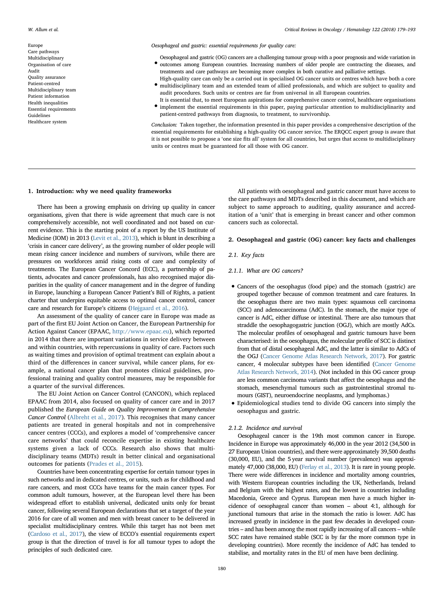Europe Care pathways Multidisciplinary Organisation of care Audit Quality assurance Patient-centred Multidisciplinary team Patient information Health inequalities Essential requirements Guidelines Healthcare system

Oesophageal and gastric: essential requirements for quality care:

- outcomes among European countries. Increasing numbers of older people are contracting the diseases, and Oesophageal and gastric (OG) cancers are a challenging tumour group with a poor prognosis and wide variation in treatments and care pathways are becoming more complex in both curative and palliative settings.
- multidisciplinary team and an extended team of allied professionals, and which are subject to quality and High-quality care can only be a carried out in specialised OG cancer units or centres which have both a core audit procedures. Such units or centres are far from universal in all European countries.
- implement the essential requirements in this paper, paying particular attention to multidisciplinarity and  $\bullet$  implement the essential requirements in this paper, paying particular attention to multidisciplinarity and It is essential that, to meet European aspirations for comprehensive cancer control, healthcare organisations patient-centred pathways from diagnosis, to treatment, to survivorship.

Conclusion: Taken together, the information presented in this paper provides a comprehensive description of the essential requirements for establishing a high-quality OG cancer service. The ERQCC expert group is aware that it is not possible to propose a 'one size fits all' system for all countries, but urges that access to multidisciplinary units or centres must be guaranteed for all those with OG cancer.

#### 1. Introduction: why we need quality frameworks

There has been a growing emphasis on driving up quality in cancer organisations, given that there is wide agreement that much care is not comprehensively accessible, not well coordinated and not based on current evidence. This is the starting point of a report by the US Institute of Medicine (IOM) in 2013 ([Levit et al., 2013\)](#page-13-0), which is blunt in describing a 'crisis in cancer care delivery', as the growing number of older people will mean rising cancer incidence and numbers of survivors, while there are pressures on workforces amid rising costs of care and complexity of treatments. The European Cancer Concord (ECC), a partnership of patients, advocates and cancer professionals, has also recognised major disparities in the quality of cancer management and in the degree of funding in Europe, launching a European Cancer Patient's Bill of Rights, a patient charter that underpins equitable access to optimal cancer control, cancer care and research for Europe's citizens [\(Højgaard et al., 2016](#page-13-1)).

An assessment of the quality of cancer care in Europe was made as part of the first EU Joint Action on Cancer, the European Partnership for Action Against Cancer (EPAAC, <http://www.epaac.eu>), which reported in 2014 that there are important variations in service delivery between and within countries, with repercussions in quality of care. Factors such as waiting times and provision of optimal treatment can explain about a third of the differences in cancer survival, while cancer plans, for example, a national cancer plan that promotes clinical guidelines, professional training and quality control measures, may be responsible for a quarter of the survival differences.

The EU Joint Action on Cancer Control (CANCON), which replaced EPAAC from 2014, also focused on quality of cancer care and in 2017 published the European Guide on Quality Improvement in Comprehensive Cancer Control ([Albreht et al., 2017\)](#page-12-0). This recognises that many cancer patients are treated in general hospitals and not in comprehensive cancer centres (CCCs), and explores a model of 'comprehensive cancer care networks' that could reconcile expertise in existing healthcare systems given a lack of CCCs. Research also shows that multidisciplinary teams (MDTs) result in better clinical and organisational outcomes for patients [\(Prades et al., 2015\)](#page-13-2).

Countries have been concentrating expertise for certain tumour types in such networks and in dedicated centres, or units, such as for childhood and rare cancers, and most CCCs have teams for the main cancer types. For common adult tumours, however, at the European level there has been widespread effort to establish universal, dedicated units only for breast cancer, following several European declarations that set a target of the year 2016 for care of all women and men with breast cancer to be delivered in specialist multidisciplinary centres. While this target has not been met [\(Cardoso et al., 2017](#page-12-1)), the view of ECCO's essential requirements expert group is that the direction of travel is for all tumour types to adopt the principles of such dedicated care.

All patients with oesophageal and gastric cancer must have access to the care pathways and MDTs described in this document, and which are subject to same approach to auditing, quality assurance and accreditation of a 'unit' that is emerging in breast cancer and other common cancers such as colorectal.

#### 2. Oesophageal and gastric (OG) cancer: key facts and challenges

#### 2.1. Key facts

#### 2.1.1. What are OG cancers?

- Cancers of the oesophagus (food pipe) and the stomach (gastric) are grouped together because of common treatment and care features. In the oesophagus there are two main types: squamous cell carcinoma (SCC) and adenocarcinoma (AdC). In the stomach, the major type of cancer is AdC, either diffuse or intestinal. There are also tumours that straddle the oesophagogastric junction (OGJ), which are mostly AdCs. The molecular profiles of oesophageal and gastric tumours have been characterised: in the oesophagus, the molecular profile of SCC is distinct from that of distal oesophageal AdC, and the latter is similar to AdCs of the OGJ [\(Cancer Genome Atlas Research Network, 2017](#page-12-2)). For gastric cancer, 4 molecular subtypes have been identified ([Cancer Genome](#page-12-3) [Atlas Research Network, 2014\)](#page-12-3). (Not included in this OG cancer group are less common carcinoma variants that affect the oesophagus and the stomach, mesenchymal tumours such as gastrointestinal stromal tumours (GIST), neuroendocrine neoplasms, and lymphomas.)
- Epidemiological studies tend to divide OG cancers into simply the oesophagus and gastric.

#### 2.1.2. Incidence and survival

Oesophageal cancer is the 19th most common cancer in Europe. Incidence in Europe was approximately 46,000 in the year 2012 (34,500 in 27 European Union countries), and there were approximately 39,500 deaths (30,000, EU), and the 5 year survival number (prevalence) was approximately 47,000 (38,000, EU) ([Ferlay et al., 2013\)](#page-12-4). It is rare in young people. There were wide differences in incidence and mortality among countries, with Western European countries including the UK, Netherlands, Ireland and Belgium with the highest rates, and the lowest in countries including Macedonia, Greece and Cyprus. European men have a much higher incidence of oesophageal cancer than women – about 4:1, although for junctional tumours that arise in the stomach the ratio is lower. AdC has increased greatly in incidence in the past few decades in developed countries – and has been among the most rapidly increasing of all cancers – while SCC rates have remained stable (SCC is by far the more common type in developing countries). More recently the incidence of AdC has tended to stabilise, and mortality rates in the EU of men have been declining.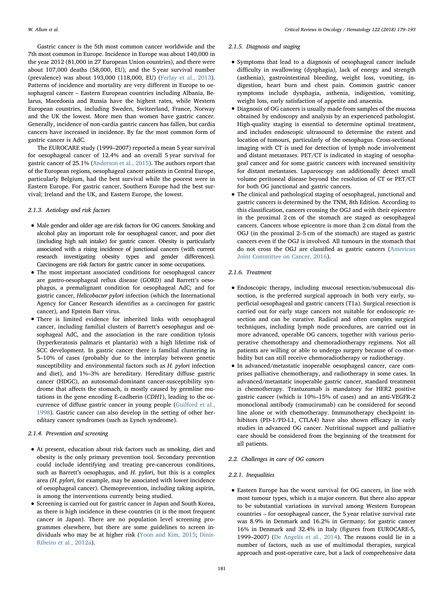Gastric cancer is the 5th most common cancer worldwide and the 7th most common in Europe. Incidence in Europe was about 140,000 in the year 2012 (81,000 in 27 European Union countries), and there were about 107,000 deaths (58,000, EU), and the 5 year survival number (prevalence) was about 193,000 (118,000, EU) ([Ferlay et al., 2013](#page-12-4)). Patterns of incidence and mortality are very different in Europe to oesophageal cancer – Eastern European countries including Albania, Belarus, Macedonia and Russia have the highest rates, while Western European countries, including Sweden, Switzerland, France, Norway and the UK the lowest. More men than women have gastric cancer. Generally, incidence of non-cardia gastric cancers has fallen, but cardia cancers have increased in incidence. By far the most common form of gastric cancer is AdC.

The EUROCARE study (1999–2007) reported a mean 5 year survival for oesophageal cancer of 12.4% and an overall 5 year survival for gastric cancer of 25.1% ([Anderson et al., 2015\)](#page-12-5). The authors report that of the European regions, oesophageal cancer patients in Central Europe, particularly Belgium, had the best survival while the poorest were in Eastern Europe. For gastric cancer, Southern Europe had the best survival; Ireland and the UK, and Eastern Europe, the lowest.

#### 2.1.3. Aetiology and risk factors

- Male gender and older age are risk factors for OG cancers. Smoking and alcohol play an important role for oesophageal cancer, and poor diet (including high salt intake) for gastric cancer. Obesity is particularly associated with a rising incidence of junctional cancers (with current research investigating obesity types and gender differences). Carcinogens are risk factors for gastric cancer in some occupations.
- The most important associated conditions for oesophageal cancer are gastro-oesophageal reflux disease (GORD) and Barrett's oesophagus, a premalignant condition for oesophageal AdC; and for gastric cancer, Helicobacter pylori infection (which the International Agency for Cancer Research identifies as a carcinogen for gastric cancer), and Epstein Barr virus.
- There is limited evidence for inherited links with oesophageal cancer, including familial clusters of Barrett's oesophagus and oesophageal AdC, and the association in the rare condition tylosis (hyperkeratosis palmaris et plantaris) with a high lifetime risk of SCC development. In gastric cancer there is familial clustering in 5–10% of cases (probably due to the interplay between genetic susceptibility and environmental factors such as H. pylori infection and diet), and 1%–3% are hereditary. Hereditary diffuse gastric cancer (HDGC), an autosomal-dominant cancer-susceptibility syndrome that affects the stomach, is mostly caused by germline mutations in the gene encoding E-cadherin (CDH1), leading to the occurrence of diffuse gastric cancer in young people ([Guilford et al.,](#page-13-3) [1998](#page-13-3)). Gastric cancer can also develop in the setting of other hereditary cancer syndromes (such as Lynch syndrome).

#### 2.1.4. Prevention and screening

- At present, education about risk factors such as smoking, diet and obesity is the only primary prevention tool. Secondary prevention could include identifying and treating pre-cancerous conditions, such as Barrett's oesophagus, and H. pylori, but this is a complex area (H. pylori, for example, may be associated with lower incidence of oesophageal cancer). Chemoprevention, including taking aspirin, is among the interventions currently being studied.
- Screening is carried out for gastric cancer in Japan and South Korea, as there is high incidence in these countries (it is the most frequent cancer in Japan). There are no population level screening programmes elsewhere, but there are some guidelines to screen individuals who may be at higher risk ([Yoon and Kim, 2015;](#page-14-0) [Dinis-](#page-12-6)[Ribeiro et al., 2012a\)](#page-12-6).

#### 2.1.5. Diagnosis and staging

- Symptoms that lead to a diagnosis of oesophageal cancer include difficulty in swallowing (dysphagia), lack of energy and strength (asthenia), gastrointestinal bleeding, weight loss, vomiting, indigestion, heart burn and chest pain. Common gastric cancer symptoms include dysphagia, asthenia, indigestion, vomiting, weight loss, early satisfaction of appetite and anaemia.
- Diagnosis of OG cancers is usually made from samples of the mucosa obtained by endoscopy and analysis by an experienced pathologist. High-quality staging is essential to determine optimal treatment, and includes endoscopic ultrasound to determine the extent and location of tumours, particularly of the oesophagus. Cross-sectional imaging with CT is used for detection of lymph node involvement and distant metastases. PET/CT is indicated in staging of oesophageal cancer and for some gastric cancers with increased sensitivity for distant metastases. Laparoscopy can additionally detect small volume peritoneal disease beyond the resolution of CT or PET/CT for both OG junctional and gastric cancers.
- The clinical and pathological staging of oesophageal, junctional and gastric cancers is determined by the TNM, 8th Edition. According to this classification, cancers crossing the OGJ and with their epicentre in the proximal 2 cm of the stomach are staged as oesophageal cancers. Cancers whose epicentre is more than 2 cm distal from the OGJ (in the proximal 2–5 cm of the stomach) are staged as gastric cancers even if the OGJ is involved. All tumours in the stomach that do not cross the OGJ are classified as gastric cancers ([American](#page-12-7) [Joint Committee on Cancer, 2016\)](#page-12-7).

#### 2.1.6. Treatment

- Endoscopic therapy, including mucosal resection/submucosal dissection, is the preferred surgical approach in both very early, superficial oesophageal and gastric cancers (T1a). Surgical resection is carried out for early stage cancers not suitable for endoscopic resection and can be curative. Radical and often complex surgical techniques, including lymph node procedures, are carried out in more advanced, operable OG cancers, together with various perioperative chemotherapy and chemoradiotherapy regimens. Not all patients are willing or able to undergo surgery because of co-morbidity but can still receive chemoradiotherapy or radiotherapy.
- In advanced/metastatic inoperable oesophageal cancer, care comprises palliative chemotherapy, and radiotherapy in some cases. In advanced/metastatic inoperable gastric cancer, standard treatment is chemotherapy. Trastuzumab is mandatory for HER2 positive gastric cancer (which is 10%–15% of cases) and an anti-VEGFR-2 monoclonal antibody (ramucirumab) can be considered for second line alone or with chemotherapy. Immunotherapy checkpoint inhibitors (PD-1/PD-L1, CTLA4) have also shown efficacy in early studies in advanced OG cancer. Nutritional support and palliative care should be considered from the beginning of the treatment for all patients.

#### 2.2. Challenges in care of OG cancers

#### 2.2.1. Inequalities

• Eastern Europe has the worst survival for OG cancers, in line with most tumour types, which is a major concern. But there also appear to be substantial variations in survival among Western European countries – for oesophageal cancer, the 5 year relative survival rate was 8.9% in Denmark and 16.2% in Germany; for gastric cancer 16% in Denmark and 32.4% in Italy (figures from EUROCARE-5, 1999–2007) ([De Angelis et al., 2014\)](#page-12-8). The reasons could lie in a number of factors, such as use of multimodal therapies, surgical approach and post-operative care, but a lack of comprehensive data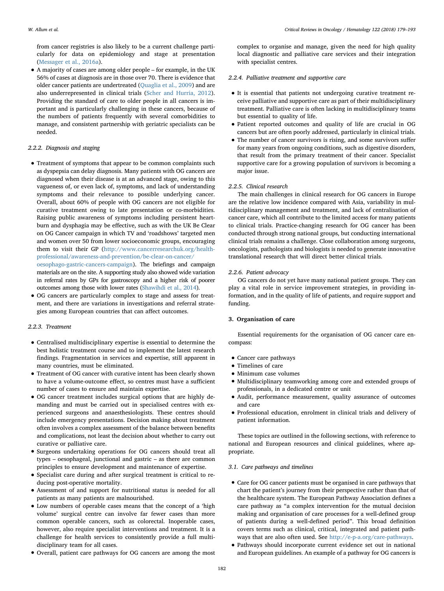from cancer registries is also likely to be a current challenge particularly for data on epidemiology and stage at presentation [\(Messager et al., 2016a](#page-13-4)).

• A majority of cases are among older people – for example, in the UK 56% of cases at diagnosis are in those over 70. There is evidence that older cancer patients are undertreated [\(Quaglia et al., 2009](#page-13-5)) and are also underrepresented in clinical trials ([Scher and Hurria, 2012](#page-13-6)). Providing the standard of care to older people in all cancers is important and is particularly challenging in these cancers, because of the numbers of patients frequently with several comorbidities to manage, and consistent partnership with geriatric specialists can be needed.

#### 2.2.2. Diagnosis and staging

- Treatment of symptoms that appear to be common complaints such as dyspepsia can delay diagnosis. Many patients with OG cancers are diagnosed when their disease is at an advanced stage, owing to this vagueness of, or even lack of, symptoms, and lack of understanding symptoms and their relevance to possible underlying cancer. Overall, about 60% of people with OG cancers are not eligible for curative treatment owing to late presentation or co-morbidities. Raising public awareness of symptoms including persistent heartburn and dysphagia may be effective, such as with the UK Be Clear on OG Cancer campaign in which TV and 'roadshows' targeted men and women over 50 from lower socioeconomic groups, encouraging them to visit their GP [\(http://www.cancerresearchuk.org/health](http://www.cancerresearchuk.org/health-professional/awareness-and-prevention/be-clear-on-cancer/oesophago-gastric-cancers-campaign)[professional/awareness-and-prevention/be-clear-on-cancer/](http://www.cancerresearchuk.org/health-professional/awareness-and-prevention/be-clear-on-cancer/oesophago-gastric-cancers-campaign) [oesophago-gastric-cancers-campaign](http://www.cancerresearchuk.org/health-professional/awareness-and-prevention/be-clear-on-cancer/oesophago-gastric-cancers-campaign)). The briefings and campaign materials are on the site. A supporting study also showed wide variation in referral rates by GPs for gastroscopy and a higher risk of poorer outcomes among those with lower rates ([Shawihdi et al., 2014](#page-13-7)).
- OG cancers are particularly complex to stage and assess for treatment, and there are variations in investigations and referral strategies among European countries that can affect outcomes.

#### 2.2.3. Treatment

- Centralised multidisciplinary expertise is essential to determine the best holistic treatment course and to implement the latest research findings. Fragmentation in services and expertise, still apparent in many countries, must be eliminated.
- Treatment of OG cancer with curative intent has been clearly shown to have a volume-outcome effect, so centres must have a sufficient number of cases to ensure and maintain expertise.
- OG cancer treatment includes surgical options that are highly demanding and must be carried out in specialised centres with experienced surgeons and anaesthesiologists. These centres should include emergency presentations. Decision making about treatment often involves a complex assessment of the balance between benefits and complications, not least the decision about whether to carry out curative or palliative care.
- Surgeons undertaking operations for OG cancers should treat all types – oesophageal, junctional and gastric – as there are common principles to ensure development and maintenance of expertise.
- Specialist care during and after surgical treatment is critical to reducing post-operative mortality.
- Assessment of and support for nutritional status is needed for all patients as many patients are malnourished.
- Low numbers of operable cases means that the concept of a 'high volume' surgical centre can involve far fewer cases than more common operable cancers, such as colorectal. Inoperable cases, however, also require specialist interventions and treatment. It is a challenge for health services to consistently provide a full multidisciplinary team for all cases.
- Overall, patient care pathways for OG cancers are among the most

complex to organise and manage, given the need for high quality local diagnostic and palliative care services and their integration with specialist centres.

#### 2.2.4. Palliative treatment and supportive care

- It is essential that patients not undergoing curative treatment receive palliative and supportive care as part of their multidisciplinary treatment. Palliative care is often lacking in multidisciplinary teams but essential to quality of life.
- Patient reported outcomes and quality of life are crucial in OG cancers but are often poorly addressed, particularly in clinical trials.
- The number of cancer survivors is rising, and some survivors suffer for many years from ongoing conditions, such as digestive disorders, that result from the primary treatment of their cancer. Specialist supportive care for a growing population of survivors is becoming a major issue.

#### 2.2.5. Clinical research

The main challenges in clinical research for OG cancers in Europe are the relative low incidence compared with Asia, variability in multidisciplinary management and treatment, and lack of centralisation of cancer care, which all contribute to the limited access for many patients to clinical trials. Practice-changing research for OG cancer has been conducted through strong national groups, but conducting international clinical trials remains a challenge. Close collaboration among surgeons, oncologists, pathologists and biologists is needed to generate innovative translational research that will direct better clinical trials.

#### 2.2.6. Patient advocacy

OG cancers do not yet have many national patient groups. They can play a vital role in service improvement strategies, in providing information, and in the quality of life of patients, and require support and funding.

#### 3. Organisation of care

Essential requirements for the organisation of OG cancer care encompass:

- Cancer care pathways
- Timelines of care
- Minimum case volumes
- Multidisciplinary teamworking among core and extended groups of professionals, in a dedicated centre or unit
- Audit, performance measurement, quality assurance of outcomes and care
- Professional education, enrolment in clinical trials and delivery of patient information.

These topics are outlined in the following sections, with reference to national and European resources and clinical guidelines, where appropriate.

#### 3.1. Care pathways and timelines

- Care for OG cancer patients must be organised in care pathways that chart the patient's journey from their perspective rather than that of the healthcare system. The European Pathway Association defines a care pathway as "a complex intervention for the mutual decision making and organisation of care processes for a well-defined group of patients during a well-defined period". This broad definition covers terms such as clinical, critical, integrated and patient pathways that are also often used. See [http://e-p-a.org/care-pathways.](http://e-p-a.org/care-pathways)
- Pathways should incorporate current evidence set out in national and European guidelines. An example of a pathway for OG cancers is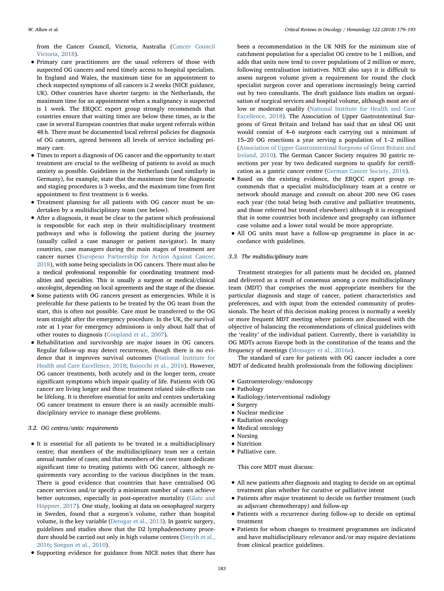from the Cancer Council, Victoria, Australia ([Cancer Council](#page-12-9) [Victoria, 2018](#page-12-9)).

- Primary care practitioners are the usual referrers of those with suspected OG cancers and need timely access to hospital specialists. In England and Wales, the maximum time for an appointment to check suspected symptoms of all cancers is 2 weeks (NICE guidance, UK). Other countries have shorter targets: in the Netherlands, the maximum time for an appointment when a malignancy is suspected is 1 week. The ERQCC expert group strongly recommends that countries ensure that waiting times are below these times, as is the case in several European countries that make urgent referrals within 48 h. There must be documented local referral policies for diagnosis of OG cancers, agreed between all levels of service including primary care.
- Times to report a diagnosis of OG cancer and the opportunity to start treatment are crucial to the wellbeing of patients to avoid as much anxiety as possible. Guidelines in the Netherlands (and similarly in Germany), for example, state that the maximum time for diagnostic and staging procedures is 3 weeks, and the maximum time from first appointment to first treatment is 6 weeks.
- Treatment planning for all patients with OG cancer must be undertaken by a multidisciplinary team (see below).
- After a diagnosis, it must be clear to the patient which professional is responsible for each step in their multidisciplinary treatment pathways and who is following the patient during the journey (usually called a case manager or patient navigator). In many countries, case managers during the main stages of treatment are cancer nurses ([European Partnership for Action Against Cancer,](#page-12-10) [2018](#page-12-10)), with some being specialists in OG cancers. There must also be a medical professional responsible for coordinating treatment modalities and specialties. This is usually a surgeon or medical/clinical oncologist, depending on local agreements and the stage of the disease.
- Some patients with OG cancers present as emergencies. While it is preferable for these patients to be treated by the OG team from the start, this is often not possible. Care must be transferred to the OG team straight after the emergency procedure. In the UK, the survival rate at 1 year for emergency admissions is only about half that of other routes to diagnosis [\(Coupland et al., 2007](#page-12-11)).
- Rehabilitation and survivorship are major issues in OG cancers. Regular follow-up may detect recurrence, though there is no evidence that it improves survival outcomes ([National Institute for](#page-13-8) [Health and Care Excellence, 2018](#page-13-8); [Baiocchi et al., 2016](#page-12-12)). However, OG cancer treatments, both acutely and in the longer term, create significant symptoms which impair quality of life. Patients with OG cancer are living longer and these treatment related side-effects can be lifelong. It is therefore essential for units and centres undertaking OG cancer treatment to ensure there is an easily accessible multidisciplinary service to manage these problems.

#### 3.2. OG centres/units: requirements

- It is essential for all patients to be treated in a multidisciplinary centre; that members of the multidisciplinary team see a certain annual number of cases; and that members of the core team dedicate significant time to treating patients with OG cancer, although requirements vary according to the various disciplines in the team. There is good evidence that countries that have centralised OG cancer services and/or specify a minimum number of cases achieve better outcomes, especially in post-operative mortality ([Glatz and](#page-13-9) [Höppner, 2017\)](#page-13-9). One study, looking at data on oesophageal surgery in Sweden, found that a surgeon's volume, rather than hospital volume, is the key variable ([Derogar et al., 2013](#page-12-13)). In gastric surgery, guidelines and studies show that the D2 lymphadenectomy proce-dure should be carried out only in high volume centres ([Smyth et al.,](#page-13-10) [2016](#page-13-10); [Songun et al., 2010\)](#page-13-11).
- Supporting evidence for guidance from NICE notes that there has

been a recommendation in the UK NHS for the minimum size of catchment population for a specialist OG centre to be 1 million, and adds that units now tend to cover populations of 2 million or more, following centralisation initiatives. NICE also says it is difficult to assess surgeon volume given a requirement for round the clock specialist surgeon cover and operations increasingly being carried out by two consultants. The draft guidance lists studies on organisation of surgical services and hospital volume, although most are of low or moderate quality ([National Institute for Health and Care](#page-13-8) [Excellence, 2018](#page-13-8)). The Association of Upper Gastrointestinal Surgeons of Great Britain and Ireland has said that an ideal OG unit would consist of 4–6 surgeons each carrying out a minimum of 15–20 OG resections a year serving a population of 1–2 million [\(Association of Upper Gastrointestinal Surgeons of Great Britain and](#page-12-14) [Ireland, 2010\)](#page-12-14). The German Cancer Society requires 30 gastric resections per year by two dedicated surgeons to qualify for certification as a gastric cancer centre ([German Cancer Society, 2016](#page-13-12)).

- Based on the existing evidence, the ERQCC expert group recommends that a specialist multidisciplinary team at a centre or network should manage and consult on about 200 new OG cases each year (the total being both curative and palliative treatments, and those referred but treated elsewhere) although it is recognised that in some countries both incidence and geography can influence case volume and a lower total would be more appropriate.
- All OG units must have a follow-up programme in place in accordance with guidelines.

#### 3.3. The multidisciplinary team

Treatment strategies for all patients must be decided on, planned and delivered as a result of consensus among a core multidisciplinary team (MDT) that comprises the most appropriate members for the particular diagnosis and stage of cancer, patient characteristics and preferences, and with input from the extended community of professionals. The heart of this decision making process is normally a weekly or more frequent MDT meeting where patients are discussed with the objective of balancing the recommendations of clinical guidelines with the 'reality' of the individual patient. Currently, there is variability in OG MDTs across Europe both in the constitution of the teams and the frequency of meetings ([Messager et al., 2016a\)](#page-13-4).

The standard of care for patients with OG cancer includes a core MDT of dedicated health professionals from the following disciplines:

- Gastroenterology/endoscopy
- Pathology
- Radiology/interventional radiology
- Surgery
- Nuclear medicine
- Radiation oncology
- Medical oncology
- Nursing
- Nutrition
- Palliative care.

This core MDT must discuss:

- All new patients after diagnosis and staging to decide on an optimal treatment plan whether for curative or palliative intent
- Patients after major treatment to decide on further treatment (such as adjuvant chemotherapy) and follow-up
- Patients with a recurrence during follow-up to decide on optimal treatment
- Patients for whom changes to treatment programmes are indicated and have multidisciplinary relevance and/or may require deviations from clinical practice guidelines.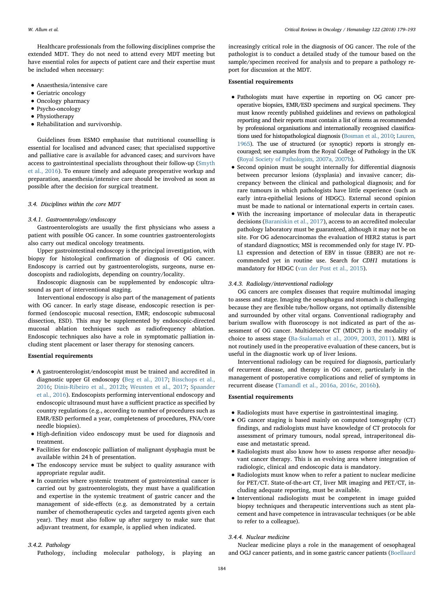Healthcare professionals from the following disciplines comprise the extended MDT. They do not need to attend every MDT meeting but have essential roles for aspects of patient care and their expertise must be included when necessary:

- Anaesthesia/intensive care
- Geriatric oncology
- Oncology pharmacy
- Psycho-oncology
- Physiotherapy
- Rehabilitation and survivorship.

Guidelines from ESMO emphasise that nutritional counselling is essential for localised and advanced cases; that specialised supportive and palliative care is available for advanced cases; and survivors have access to gastrointestinal specialists throughout their follow-up [\(Smyth](#page-13-10) [et al., 2016](#page-13-10)). To ensure timely and adequate preoperative workup and preparation, anaesthesia/intensive care should be involved as soon as possible after the decision for surgical treatment.

#### 3.4. Disciplines within the core MDT

#### 3.4.1. Gastroenterology/endoscopy

Gastroenterologists are usually the first physicians who assess a patient with possible OG cancer. In some countries gastroenterologists also carry out medical oncology treatments.

Upper gastrointestinal endoscopy is the principal investigation, with biopsy for histological confirmation of diagnosis of OG cancer. Endoscopy is carried out by gastroenterologists, surgeons, nurse endoscopists and radiologists, depending on country/locality.

Endoscopic diagnosis can be supplemented by endoscopic ultrasound as part of interventional staging.

Interventional endoscopy is also part of the management of patients with OG cancer. In early stage disease, endoscopic resection is performed (endoscopic mucosal resection, EMR; endoscopic submucosal dissection, ESD). This may be supplemented by endoscopic-directed mucosal ablation techniques such as radiofrequency ablation. Endoscopic techniques also have a role in symptomatic palliation including stent placement or laser therapy for stenosing cancers.

#### Essential requirements

- A gastroenterologist/endoscopist must be trained and accredited in diagnostic upper GI endoscopy [\(Beg et al., 2017](#page-12-15); [Bisschops et al.,](#page-12-16) [2016](#page-12-16); [Dinis-Ribeiro et al., 2012b](#page-12-17); [Weusten et al., 2017](#page-14-1); [Spaander](#page-13-13) [et al., 2016\)](#page-13-13). Endoscopists performing interventional endoscopy and endoscopic ultrasound must have a sufficient practice as specified by country regulations (e.g., according to number of procedures such as EMR/ESD performed a year, completeness of procedures, FNA/core needle biopsies).
- High-definition video endoscopy must be used for diagnosis and treatment.
- Facilities for endoscopic palliation of malignant dysphagia must be available within 24 h of presentation.
- The endoscopy service must be subject to quality assurance with appropriate regular audit.
- In countries where systemic treatment of gastrointestinal cancer is carried out by gastroenterologists, they must have a qualification and expertise in the systemic treatment of gastric cancer and the management of side-effects (e.g. as demonstrated by a certain number of chemotherapeutic cycles and targeted agents given each year). They must also follow up after surgery to make sure that adjuvant treatment, for example, is applied when indicated.

#### increasingly critical role in the diagnosis of OG cancer. The role of the pathologist is to conduct a detailed study of the tumour based on the sample/specimen received for analysis and to prepare a pathology report for discussion at the MDT.

#### Essential requirements

- Pathologists must have expertise in reporting on OG cancer preoperative biopsies, EMR/ESD specimens and surgical specimens. They must know recently published guidelines and reviews on pathological reporting and their reports must contain a list of items as recommended by professional organisations and internationally recognised classifications used for histopathological diagnosis [\(Bosman et al., 2010](#page-12-18); [Lauren,](#page-13-14) [1965\)](#page-13-14). The use of structured (or synoptic) reports is strongly encouraged; see examples from the Royal College of Pathology in the UK [\(Royal Society of Pathologists, 2007a, 2007b\)](#page-13-15).
- Second opinion must be sought internally for differential diagnosis between precursor lesions (dysplasia) and invasive cancer; discrepancy between the clinical and pathological diagnosis; and for rare tumours in which pathologists have little experience (such as early intra-epithelial lesions of HDGC). External second opinion must be made to national or international experts in certain cases.
- With the increasing importance of molecular data in therapeutic decisions [\(Baraniskin et al., 2017\)](#page-12-19), access to an accredited molecular pathology laboratory must be guaranteed, although it may not be on site. For OG adenocarcinomas the evaluation of HER2 status is part of standard diagnostics; MSI is recommended only for stage IV. PD-L1 expression and detection of EBV in tissue (EBER) are not recommended yet in routine use. Search for CDH1 mutations is mandatory for HDGC ([van der Post et al., 2015\)](#page-13-16).

#### 3.4.3. Radiology/interventional radiology

OG cancers are complex diseases that require multimodal imaging to assess and stage. Imaging the oesophagus and stomach is challenging because they are flexible tube/hollow organs, not optimally distensible and surrounded by other vital organs. Conventional radiography and barium swallow with fluoroscopy is not indicated as part of the assessment of OG cancer. Multidetector CT (MDCT) is the modality of choice to assess stage [\(Ba-Ssalamah et al., 2009, 2003, 2011\)](#page-12-20). MRI is not routinely used in the preoperative evaluation of these cancers, but is useful in the diagnostic work up of liver lesions.

Interventional radiology can be required for diagnosis, particularly of recurrent disease, and therapy in OG cancer, particularly in the management of postoperative complications and relief of symptoms in recurrent disease ([Tamandl et al., 2016a, 2016c, 2016b\)](#page-13-17).

#### Essential requirements

- Radiologists must have expertise in gastrointestinal imaging.
- OG cancer staging is based mainly on computed tomography (CT) findings, and radiologists must have knowledge of CT protocols for assessment of primary tumours, nodal spread, intraperitoneal disease and metastatic spread.
- Radiologists must also know how to assess response after neoadjuvant cancer therapy. This is an evolving area where integration of radiologic, clinical and endoscopic data is mandatory.
- Radiologists must know when to refer a patient to nuclear medicine for PET/CT. State-of-the-art CT, liver MR imaging and PET/CT, including adequate reporting, must be available.
- Interventional radiologists must be competent in image guided biopsy techniques and therapeutic interventions such as stent placement and have competence in intravascular techniques (or be able to refer to a colleague).

#### 3.4.4. Nuclear medicine

#### 3.4.2. Pathology

Pathology, including molecular pathology, is playing an

Nuclear medicine plays a role in the management of oesophageal and OGJ cancer patients, and in some gastric cancer patients [\(Boellaard](#page-12-21)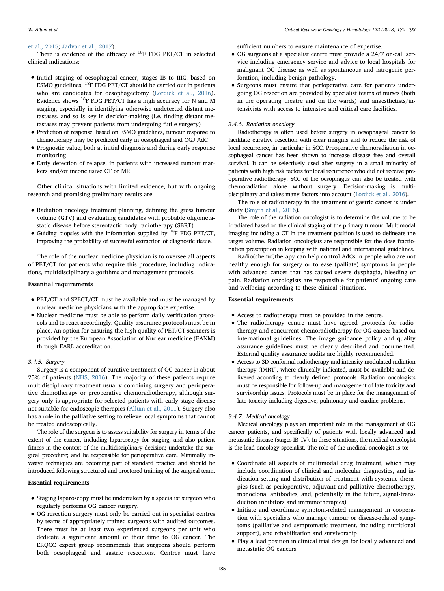#### [et al., 2015](#page-12-21); [Jadvar et al., 2017](#page-13-18)).

There is evidence of the efficacy of  $^{18}$ F FDG PET/CT in selected clinical indications:

- Initial staging of oesophageal cancer, stages IB to IIIC: based on ESMO guidelines,  ${}^{18}$ F FDG PET/CT should be carried out in patients who are candidates for oesophagectomy ([Lordick et al., 2016](#page-13-19)). Evidence shows 18F FDG PET/CT has a high accuracy for N and M staging, especially in identifying otherwise undetected distant metastases, and so is key in decision-making (i.e. finding distant metastases may prevent patients from undergoing futile surgery)
- Prediction of response: based on ESMO guidelines, tumour response to chemotherapy may be predicted early in oesophageal and OGJ AdC
- Prognostic value, both at initial diagnosis and during early response monitoring
- Early detection of relapse, in patients with increased tumour markers and/or inconclusive CT or MR.

Other clinical situations with limited evidence, but with ongoing research and promising preliminary results are:

- Radiation oncology treatment planning, defining the gross tumour volume (GTV) and evaluating candidates with probable oligometastatic disease before stereotactic body radiotherapy (SBRT)
- Guiding biopsies with the information supplied by  $^{18}$ F FDG PET/CT, improving the probability of successful extraction of diagnostic tissue.

The role of the nuclear medicine physician is to oversee all aspects of PET/CT for patients who require this procedure, including indications, multidisciplinary algorithms and management protocols.

#### Essential requirements

- PET/CT and SPECT/CT must be available and must be managed by nuclear medicine physicians with the appropriate expertise.
- Nuclear medicine must be able to perform daily verification protocols and to react accordingly. Quality-assurance protocols must be in place. An option for ensuring the high quality of PET/CT scanners is provided by the European Association of Nuclear medicine (EANM) through EARL accreditation.

#### 3.4.5. Surgery

Surgery is a component of curative treatment of OG cancer in about 25% of patients ([NHS, 2016](#page-13-20)). The majority of these patients require multidisciplinary treatment usually combining surgery and perioperative chemotherapy or preoperative chemoradiotherapy, although surgery only is appropriate for selected patients with early stage disease not suitable for endoscopic therapies [\(Allum et al., 2011](#page-12-22)). Surgery also has a role in the palliative setting to relieve local symptoms that cannot be treated endoscopically.

The role of the surgeon is to assess suitability for surgery in terms of the extent of the cancer, including laparoscopy for staging, and also patient fitness in the context of the multidisciplinary decision; undertake the surgical procedure; and be responsible for perioperative care. Minimally invasive techniques are becoming part of standard practice and should be introduced following structured and proctored training of the surgical team.

#### Essential requirements

- Staging laparoscopy must be undertaken by a specialist surgeon who regularly performs OG cancer surgery.
- OG resection surgery must only be carried out in specialist centres by teams of appropriately trained surgeons with audited outcomes. There must be at least two experienced surgeons per unit who dedicate a significant amount of their time to OG cancer. The ERQCC expert group recommends that surgeons should perform both oesophageal and gastric resections. Centres must have

sufficient numbers to ensure maintenance of expertise.

- OG surgeons at a specialist centre must provide a 24/7 on-call service including emergency service and advice to local hospitals for malignant OG disease as well as spontaneous and iatrogenic perforation, including benign pathology.
- Surgeons must ensure that perioperative care for patients undergoing OG resection are provided by specialist teams of nurses (both in the operating theatre and on the wards) and anaesthetists/intensivists with access to intensive and critical care facilities.

#### 3.4.6. Radiation oncology

Radiotherapy is often used before surgery in oesophageal cancer to facilitate curative resection with clear margins and to reduce the risk of local recurrence, in particular in SCC. Preoperative chemoradiation in oesophageal cancer has been shown to increase disease free and overall survival. It can be selectively used after surgery in a small minority of patients with high risk factors for local recurrence who did not receive preoperative radiotherapy. SCC of the oesophagus can also be treated with chemoradiation alone without surgery. Decision-making is multidisciplinary and takes many factors into account [\(Lordick et al., 2016\)](#page-13-19).

The role of radiotherapy in the treatment of gastric cancer is under study [\(Smyth et al., 2016](#page-13-10)).

The role of the radiation oncologist is to determine the volume to be irradiated based on the clinical staging of the primary tumour. Multimodal imaging including a CT in the treatment position is used to delineate the target volume. Radiation oncologists are responsible for the dose fractionation prescription in keeping with national and international guidelines.

Radio(chemo)therapy can help control AdCs in people who are not healthy enough for surgery or to ease (palliate) symptoms in people with advanced cancer that has caused severe dysphagia, bleeding or pain. Radiation oncologists are responsible for patients' ongoing care and wellbeing according to these clinical situations.

#### Essential requirements

- Access to radiotherapy must be provided in the centre.
- The radiotherapy centre must have agreed protocols for radiotherapy and concurrent chemoradiotherapy for OG cancer based on international guidelines. The image guidance policy and quality assurance guidelines must be clearly described and documented. External quality assurance audits are highly recommended.
- Access to 3D conformal radiotherapy and intensity modulated radiation therapy (IMRT), where clinically indicated, must be available and delivered according to clearly defined protocols. Radiation oncologists must be responsible for follow-up and management of late toxicity and survivorship issues. Protocols must be in place for the management of late toxicity including digestive, pulmonary and cardiac problems.

#### 3.4.7. Medical oncology

Medical oncology plays an important role in the management of OG cancer patients, and specifically of patients with locally advanced and metastatic disease (stages IB–IV). In these situations, the medical oncologist is the lead oncology specialist. The role of the medical oncologist is to:

- Coordinate all aspects of multimodal drug treatment, which may include coordination of clinical and molecular diagnostics, and indication setting and distribution of treatment with systemic therapies (such as perioperative, adjuvant and palliative chemotherapy, monoclonal antibodies, and, potentially in the future, signal-transduction inhibitors and immunotherapies)
- Initiate and coordinate symptom-related management in cooperation with specialists who manage tumour or disease-related symptoms (palliative and symptomatic treatment, including nutritional support), and rehabilitation and survivorship
- Play a lead position in clinical trial design for locally advanced and metastatic OG cancers.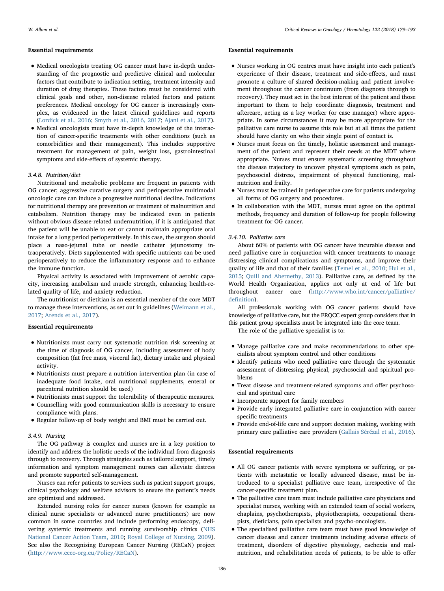#### Essential requirements

- Medical oncologists treating OG cancer must have in-depth understanding of the prognostic and predictive clinical and molecular factors that contribute to indication setting, treatment intensity and duration of drug therapies. These factors must be considered with clinical goals and other, non-disease related factors and patient preferences. Medical oncology for OG cancer is increasingly complex, as evidenced in the latest clinical guidelines and reports [\(Lordick et al., 2016](#page-13-19); [Smyth et al., 2016, 2017;](#page-13-10) [Ajani et al., 2017\)](#page-12-23).
- Medical oncologists must have in-depth knowledge of the interaction of cancer-specific treatments with other conditions (such as comorbidities and their management). This includes supportive treatment for management of pain, weight loss, gastrointestinal symptoms and side-effects of systemic therapy.

#### 3.4.8. Nutrition/diet

Nutritional and metabolic problems are frequent in patients with OG cancer; aggressive curative surgery and perioperative multimodal oncologic care can induce a progressive nutritional decline. Indications for nutritional therapy are prevention or treatment of malnutrition and catabolism. Nutrition therapy may be indicated even in patients without obvious disease-related undernutrition, if it is anticipated that the patient will be unable to eat or cannot maintain appropriate oral intake for a long period perioperatively. In this case, the surgeon should place a naso-jejunal tube or needle catheter jejunostomy intraoperatively. Diets supplemented with specific nutrients can be used perioperatively to reduce the inflammatory response and to enhance the immune function.

Physical activity is associated with improvement of aerobic capacity, increasing anabolism and muscle strength, enhancing health-related quality of life, and anxiety reduction.

The nutritionist or dietitian is an essential member of the core MDT to manage these interventions, as set out in guidelines [\(Weimann et al.,](#page-14-2) [2017;](#page-14-2) [Arends et al., 2017](#page-12-24)).

#### Essential requirements

- Nutritionists must carry out systematic nutrition risk screening at the time of diagnosis of OG cancer, including assessment of body composition (fat free mass, visceral fat), dietary intake and physical activity.
- Nutritionists must prepare a nutrition intervention plan (in case of inadequate food intake, oral nutritional supplements, enteral or parenteral nutrition should be used)
- Nutritionists must support the tolerability of therapeutic measures.
- Counselling with good communication skills is necessary to ensure compliance with plans.
- Regular follow-up of body weight and BMI must be carried out.

#### 3.4.9. Nursing

The OG pathway is complex and nurses are in a key position to identify and address the holistic needs of the individual from diagnosis through to recovery. Through strategies such as tailored support, timely information and symptom management nurses can alleviate distress and promote supported self-management.

Nurses can refer patients to services such as patient support groups, clinical psychology and welfare advisors to ensure the patient's needs are optimised and addressed.

Extended nursing roles for cancer nurses (known for example as clinical nurse specialists or advanced nurse practitioners) are now common in some countries and include performing endoscopy, delivering systemic treatments and running survivorship clinics ([NHS](#page-13-21) [National Cancer Action Team, 2010](#page-13-21); [Royal College of Nursing, 2009](#page-13-22)). See also the Recognising European Cancer Nursing (RECaN) project ([http://www.ecco-org.eu/Policy/RECaN\)](http://www.ecco-org.eu/Policy/RECaN).

#### Essential requirements

- Nurses working in OG centres must have insight into each patient'<sup>s</sup> experience of their disease, treatment and side-effects, and must promote a culture of shared decision-making and patient involvement throughout the cancer continuum (from diagnosis through to recovery). They must act in the best interest of the patient and those important to them to help coordinate diagnosis, treatment and aftercare, acting as a key worker (or case manager) where appropriate. In some circumstances it may be more appropriate for the palliative care nurse to assume this role but at all times the patient should have clarity on who their single point of contact is.
- Nurses must focus on the timely, holistic assessment and management of the patient and represent their needs at the MDT where appropriate. Nurses must ensure systematic screening throughout the disease trajectory to uncover physical symptoms such as pain, psychosocial distress, impairment of physical functioning, malnutrition and frailty.
- Nurses must be trained in perioperative care for patients undergoing all forms of OG surgery and procedures.
- In collaboration with the MDT, nurses must agree on the optimal methods, frequency and duration of follow-up for people following treatment for OG cancer.

#### 3.4.10. Palliative care

About 60% of patients with OG cancer have incurable disease and need palliative care in conjunction with cancer treatments to manage distressing clinical complications and symptoms, and improve their quality of life and that of their families [\(Temel et al., 2010](#page-13-23); [Hui et al.,](#page-13-24) [2015;](#page-13-24) [Quill and Abernethy, 2013](#page-13-25)). Palliative care, as defined by the World Health Organization, applies not only at end of life but throughout cancer care [\(http://www.who.int/cancer/palliative/](http://www.who.int/cancer/palliative/definition) defi[nition\)](http://www.who.int/cancer/palliative/definition).

All professionals working with OG cancer patients should have knowledge of palliative care, but the ERQCC expert group considers that in this patient group specialists must be integrated into the core team.

The role of the palliative specialist is to:

- Manage palliative care and make recommendations to other specialists about symptom control and other conditions
- Identify patients who need palliative care through the systematic assessment of distressing physical, psychosocial and spiritual problems
- Treat disease and treatment-related symptoms and offer psychosocial and spiritual care
- Incorporate support for family members
- Provide early integrated palliative care in conjunction with cancer specific treatments
- Provide end-of-life care and support decision making, working with primary care palliative care providers ([Gallais Sérézal et al., 2016](#page-13-26)).

#### Essential requirements

- All OG cancer patients with severe symptoms or suffering, or patients with metastatic or locally advanced disease, must be introduced to a specialist palliative care team, irrespective of the cancer-specific treatment plan.
- The palliative care team must include palliative care physicians and specialist nurses, working with an extended team of social workers, chaplains, psychotherapists, physiotherapists, occupational therapists, dieticians, pain specialists and psycho-oncologists.
- The specialised palliative care team must have good knowledge of cancer disease and cancer treatments including adverse effects of treatment, disorders of digestive physiology, cachexia and malnutrition, and rehabilitation needs of patients, to be able to offer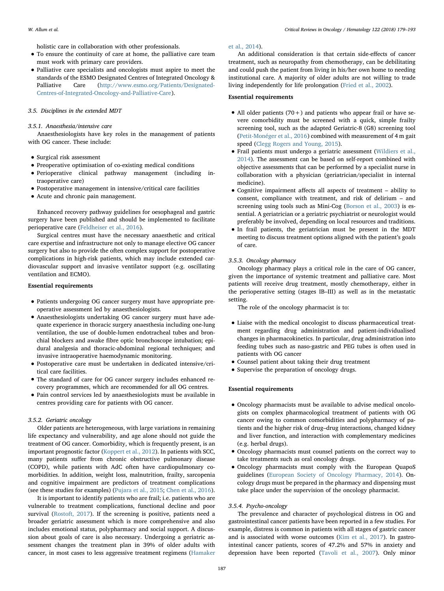holistic care in collaboration with other professionals.

- To ensure the continuity of care at home, the palliative care team must work with primary care providers.
- Palliative care specialists and oncologists must aspire to meet the standards of the ESMO Designated Centres of Integrated Oncology & Palliative Care ([http://www.esmo.org/Patients/Designated-](http://www.esmo.org/Patients/Designated-Centres-of-Integrated-Oncology-and-Palliative-Care)[Centres-of-Integrated-Oncology-and-Palliative-Care\)](http://www.esmo.org/Patients/Designated-Centres-of-Integrated-Oncology-and-Palliative-Care).

#### 3.5. Disciplines in the extended MDT

#### 3.5.1. Anaesthesia/intensive care

Anaesthesiologists have key roles in the management of patients with OG cancer. These include:

- Surgical risk assessment
- Preoperative optimisation of co-existing medical conditions
- Perioperative clinical pathway management (including intraoperative care)
- Postoperative management in intensive/critical care facilities
- Acute and chronic pain management.

Enhanced recovery pathway guidelines for oesophageal and gastric surgery have been published and should be implemented to facilitate perioperative care ([Feldheiser et al., 2016](#page-12-25)).

Surgical centres must have the necessary anaesthetic and critical care expertise and infrastructure not only to manage elective OG cancer surgery but also to provide the often complex support for postoperative complications in high-risk patients, which may include extended cardiovascular support and invasive ventilator support (e.g. oscillating ventilation and ECMO).

#### Essential requirements

- Patients undergoing OG cancer surgery must have appropriate preoperative assessment led by anaesthesiologists.
- Anaesthesiologists undertaking OG cancer surgery must have adequate experience in thoracic surgery anaesthesia including one-lung ventilation, the use of double-lumen endotracheal tubes and bronchial blockers and awake fibre optic bronchoscope intubation; epidural analgesia and thoracic-abdominal regional techniques; and invasive intraoperative haemodynamic monitoring.
- Postoperative care must be undertaken in dedicated intensive/critical care facilities.
- The standard of care for OG cancer surgery includes enhanced recovery programmes, which are recommended for all OG centres.
- Pain control services led by anaesthesiologists must be available in centres providing care for patients with OG cancer.

#### 3.5.2. Geriatric oncology

Older patients are heterogeneous, with large variations in remaining life expectancy and vulnerability, and age alone should not guide the treatment of OG cancer. Comorbidity, which is frequently present, is an important prognostic factor ([Koppert et al., 2012](#page-13-27)). In patients with SCC, many patients suffer from chronic obstructive pulmonary disease (COPD), while patients with AdC often have cardiopulmonary comorbidities. In addition, weight loss, malnutrition, frailty, sarcopenia and cognitive impairment are predictors of treatment complications (see these studies for examples) [\(Pujara et al., 2015;](#page-13-28) [Chen et al., 2016](#page-12-26)).

It is important to identify patients who are frail; i.e. patients who are vulnerable to treatment complications, functional decline and poor survival [\(Rostoft, 2017\)](#page-13-29). If the screening is positive, patients need a broader geriatric assessment which is more comprehensive and also includes emotional status, polypharmacy and social support. A discussion about goals of care is also necessary. Undergoing a geriatric assessment changes the treatment plan in 39% of older adults with cancer, in most cases to less aggressive treatment regimens ([Hamaker](#page-13-30)

#### [et al., 2014](#page-13-30)).

An additional consideration is that certain side-effects of cancer treatment, such as neuropathy from chemotherapy, can be debilitating and could push the patient from living in his/her own home to needing institutional care. A majority of older adults are not willing to trade living independently for life prolongation [\(Fried et al., 2002\)](#page-13-31).

#### Essential requirements

- All older patients  $(70+)$  and patients who appear frail or have severe comorbidity must be screened with a quick, simple frailty screening tool, such as the adapted Geriatric-8 (G8) screening tool [\(Petit-Monéger et al., 2016](#page-13-32)) combined with measurement of 4 m gait speed ([Clegg Rogers and Young, 2015\)](#page-12-27).
- Frail patients must undergo a geriatric assessment ([Wildiers et al.,](#page-14-3) [2014](#page-14-3)). The assessment can be based on self-report combined with objective assessments that can be performed by a specialist nurse in collaboration with a physician (geriatrician/specialist in internal medicine).
- Cognitive impairment affects all aspects of treatment ability to consent, compliance with treatment, and risk of delirium – and screening using tools such as Mini-Cog [\(Borson et al., 2003](#page-12-28)) is essential. A geriatrician or a geriatric psychiatrist or neurologist would preferably be involved, depending on local resources and traditions.
- In frail patients, the geriatrician must be present in the MDT meeting to discuss treatment options aligned with the patient's goals of care.

#### 3.5.3. Oncology pharmacy

Oncology pharmacy plays a critical role in the care of OG cancer, given the importance of systemic treatment and palliative care. Most patients will receive drug treatment, mostly chemotherapy, either in the perioperative setting (stages IB–III) as well as in the metastatic setting.

The role of the oncology pharmacist is to:

- Liaise with the medical oncologist to discuss pharmaceutical treatment regarding drug administration and patient-individualised changes in pharmacokinetics. In particular, drug administration into feeding tubes such as naso-gastric and PEG tubes is often used in patients with OG cancer
- Counsel patient about taking their drug treatment
- Supervise the preparation of oncology drugs.

#### Essential requirements

- Oncology pharmacists must be available to advise medical oncologists on complex pharmacological treatment of patients with OG cancer owing to common comorbidities and polypharmacy of patients and the higher risk of drug–drug interactions, changed kidney and liver function, and interaction with complementary medicines (e.g. herbal drugs).
- Oncology pharmacists must counsel patients on the correct way to take treatments such as oral oncology drugs.
- Oncology pharmacists must comply with the European QuapoS guidelines [\(European Society of Oncology Pharmacy, 2014\)](#page-12-29). Oncology drugs must be prepared in the pharmacy and dispensing must take place under the supervision of the oncology pharmacist.

#### 3.5.4. Psycho-oncology

The prevalence and character of psychological distress in OG and gastrointestinal cancer patients have been reported in a few studies. For example, distress is common in patients with all stages of gastric cancer and is associated with worse outcomes ([Kim et al., 2017](#page-13-33)). In gastrointestinal cancer patients, scores of 47.2% and 57% in anxiety and depression have been reported [\(Tavoli et al., 2007](#page-13-34)). Only minor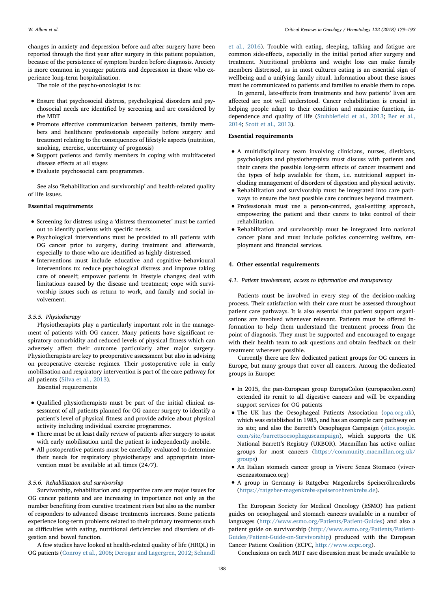changes in anxiety and depression before and after surgery have been reported through the first year after surgery in this patient population, because of the persistence of symptom burden before diagnosis. Anxiety is more common in younger patients and depression in those who experience long-term hospitalisation.

The role of the psycho-oncologist is to:

- Ensure that psychosocial distress, psychological disorders and psychosocial needs are identified by screening and are considered by the MDT
- Promote effective communication between patients, family members and healthcare professionals especially before surgery and treatment relating to the consequences of lifestyle aspects (nutrition, smoking, exercise, uncertainty of prognosis)
- Support patients and family members in coping with multifaceted disease effects at all stages
- Evaluate psychosocial care programmes.

See also 'Rehabilitation and survivorship' and health-related quality of life issues.

#### Essential requirements

- Screening for distress using a 'distress thermometer' must be carried out to identify patients with specific needs.
- Psychological interventions must be provided to all patients with OG cancer prior to surgery, during treatment and afterwards, especially to those who are identified as highly distressed.
- Interventions must include educative and cognitive–behavioural interventions to: reduce psychological distress and improve taking care of oneself; empower patients in lifestyle changes; deal with limitations caused by the disease and treatment; cope with survivorship issues such as return to work, and family and social involvement.

#### 3.5.5. Physiotherapy

Physiotherapists play a particularly important role in the management of patients with OG cancer. Many patients have significant respiratory comorbidity and reduced levels of physical fitness which can adversely affect their outcome particularly after major surgery. Physiotherapists are key to preoperative assessment but also in advising on preoperative exercise regimes. Their postoperative role in early mobilisation and respiratory intervention is part of the care pathway for all patients ([Silva et al., 2013](#page-13-35)).

Essential requirements

- Qualified physiotherapists must be part of the initial clinical assessment of all patients planned for OG cancer surgery to identify a patient's level of physical fitness and provide advice about physical activity including individual exercise programmes.
- There must be at least daily review of patients after surgery to assist with early mobilisation until the patient is independently mobile.
- All postoperative patients must be carefully evaluated to determine their needs for respiratory physiotherapy and appropriate intervention must be available at all times (24/7).

#### 3.5.6. Rehabilitation and survivorship

Survivorship, rehabilitation and supportive care are major issues for OG cancer patients and are increasing in importance not only as the number benefiting from curative treatment rises but also as the number of responders to advanced disease treatments increases. Some patients experience long-term problems related to their primary treatments such as difficulties with eating, nutritional deficiencies and disorders of digestion and bowel function.

A few studies have looked at health-related quality of life (HRQL) in OG patients ([Conroy et al., 2006](#page-12-30); [Derogar and Lagergren, 2012;](#page-12-31) [Schandl](#page-13-36)

[et al., 2016\)](#page-13-36). Trouble with eating, sleeping, talking and fatigue are common side-effects, especially in the initial period after surgery and treatment. Nutritional problems and weight loss can make family members distressed, as in most cultures eating is an essential sign of wellbeing and a unifying family ritual. Information about these issues must be communicated to patients and families to enable them to cope.

In general, late-effects from treatments and how patients' lives are affected are not well understood. Cancer rehabilitation is crucial in helping people adapt to their condition and maximise function, independence and quality of life (Stubblefi[eld et al., 2013;](#page-13-37) [Ber et al.,](#page-12-32) [2014;](#page-12-32) [Scott et al., 2013](#page-13-38)).

#### Essential requirements

- A multidisciplinary team involving clinicians, nurses, dietitians, psychologists and physiotherapists must discuss with patients and their carers the possible long-term effects of cancer treatment and the types of help available for them, i.e. nutritional support including management of disorders of digestion and physical activity.
- Rehabilitation and survivorship must be integrated into care pathways to ensure the best possible care continues beyond treatment.
- Professionals must use a person-centred, goal-setting approach, empowering the patient and their carers to take control of their rehabilitation.
- Rehabilitation and survivorship must be integrated into national cancer plans and must include policies concerning welfare, employment and financial services.

#### 4. Other essential requirements

#### 4.1. Patient involvement, access to information and transparency

Patients must be involved in every step of the decision-making process. Their satisfaction with their care must be assessed throughout patient care pathways. It is also essential that patient support organisations are involved whenever relevant. Patients must be offered information to help them understand the treatment process from the point of diagnosis. They must be supported and encouraged to engage with their health team to ask questions and obtain feedback on their treatment wherever possible.

Currently there are few dedicated patient groups for OG cancers in Europe, but many groups that cover all cancers. Among the dedicated groups in Europe:

- In 2015, the pan-European group EuropaColon (europacolon.com) extended its remit to all digestive cancers and will be expanding support services for OG patients
- The UK has the Oesophageal Patients Association ([opa.org.uk](http://opa.org.uk)), which was established in 1985, and has an example care pathway on its site; and also the Barrett's Oesophagus Campaign [\(sites.google.](http://sites.google.com/site/barrettsoesophaguscampaign) [com/site/barrettsoesophaguscampaign](http://sites.google.com/site/barrettsoesophaguscampaign)), which supports the UK National Barrett's Registry (UKBOR). Macmillan has active online groups for most cancers ([https://community.macmillan.org.uk/](https://community.macmillan.org.uk/groups) [groups](https://community.macmillan.org.uk/groups))
- An Italian stomach cancer group is Vivere Senza Stomaco (viveresenzastomaco.org)
- A group in Germany is Ratgeber Magenkrebs Speiseröhrenkrebs [\(https://ratgeber-magenkrebs-speiseroehrenkrebs.de\)](https://ratgeber-magenkrebs-speiseroehrenkrebs.de).

The European Society for Medical Oncology (ESMO) has patient guides on oesophageal and stomach cancers available in a number of languages [\(http://www.esmo.org/Patients/Patient-Guides](http://www.esmo.org/Patients/Patient-Guides)) and also a patient guide on survivorship ([http://www.esmo.org/Patients/Patient-](http://www.esmo.org/Patients/Patient-Guides/Patient-Guide-on-Survivorship)[Guides/Patient-Guide-on-Survivorship\)](http://www.esmo.org/Patients/Patient-Guides/Patient-Guide-on-Survivorship) produced with the European Cancer Patient Coalition (ECPC, <http://www.ecpc.org>).

Conclusions on each MDT case discussion must be made available to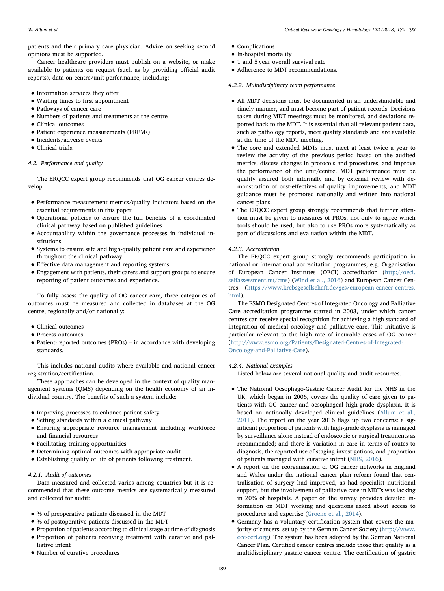patients and their primary care physician. Advice on seeking second opinions must be supported.

Cancer healthcare providers must publish on a website, or make available to patients on request (such as by providing official audit reports), data on centre/unit performance, including:

- Information services they offer
- Waiting times to first appointment
- Pathways of cancer care
- Numbers of patients and treatments at the centre
- Clinical outcomes
- Patient experience measurements (PREMs)
- Incidents/adverse events
- Clinical trials.

#### 4.2. Performance and quality

The ERQCC expert group recommends that OG cancer centres develop:

- Performance measurement metrics/quality indicators based on the essential requirements in this paper
- Operational policies to ensure the full benefits of a coordinated clinical pathway based on published guidelines
- Accountability within the governance processes in individual institutions
- Systems to ensure safe and high-quality patient care and experience throughout the clinical pathway
- <sup>E</sup>ffective data management and reporting systems
- Engagement with patients, their carers and support groups to ensure reporting of patient outcomes and experience.

To fully assess the quality of OG cancer care, three categories of outcomes must be measured and collected in databases at the OG centre, regionally and/or nationally:

- Clinical outcomes
- Process outcomes
- Patient-reported outcomes (PROs) in accordance with developing standards.

This includes national audits where available and national cancer registration/certification.

These approaches can be developed in the context of quality management systems (QMS) depending on the health economy of an individual country. The benefits of such a system include:

- Improving processes to enhance patient safety
- Setting standards within a clinical pathway
- Ensuring appropriate resource management including workforce and financial resources
- Facilitating training opportunities
- Determining optimal outcomes with appropriate audit
- Establishing quality of life of patients following treatment.

#### 4.2.1. Audit of outcomes

Data measured and collected varies among countries but it is recommended that these outcome metrics are systematically measured and collected for audit:

- % of preoperative patients discussed in the MDT
- % of postoperative patients discussed in the MDT
- Proportion of patients according to clinical stage at time of diagnosis
- Proportion of patients receiving treatment with curative and palliative intent
- Number of curative procedures
- Complications
- In-hospital mortality
- 1 and 5 year overall survival rate
- Adherence to MDT recommendations.

### 4.2.2. Multidisciplinary team performance

- All MDT decisions must be documented in an understandable and timely manner, and must become part of patient records. Decisions taken during MDT meetings must be monitored, and deviations reported back to the MDT. It is essential that all relevant patient data, such as pathology reports, meet quality standards and are available at the time of the MDT meeting.
- The core and extended MDTs must meet at least twice a year to review the activity of the previous period based on the audited metrics, discuss changes in protocols and procedures, and improve the performance of the unit/centre. MDT performance must be quality assured both internally and by external review with demonstration of cost-effectives of quality improvements, and MDT guidance must be promoted nationally and written into national cancer plans.
- The ERQCC expert group strongly recommends that further attention must be given to measures of PROs, not only to agree which tools should be used, but also to use PROs more systematically as part of discussions and evaluation within the MDT.

#### 4.2.3. Accreditation

The ERQCC expert group strongly recommends participation in national or international accreditation programmes, e.g. Organisation of European Cancer Institutes (OECI) accreditation ([http://oeci.](http://oeci.selfassessment.nu/cms) [selfassessment.nu/cms](http://oeci.selfassessment.nu/cms)) ([Wind et al., 2016](#page-14-4)) and European Cancer Centres ([https://www.krebsgesellschaft.de/gcs/european-cancer-centres.](https://www.krebsgesellschaft.de/gcs/european-cancer-centres.html) [html](https://www.krebsgesellschaft.de/gcs/european-cancer-centres.html)).

The ESMO Designated Centres of Integrated Oncology and Palliative Care accreditation programme started in 2003, under which cancer centres can receive special recognition for achieving a high standard of integration of medical oncology and palliative care. This initiative is particular relevant to the high rate of incurable cases of OG cancer ([http://www.esmo.org/Patients/Designated-Centres-of-Integrated-](http://www.esmo.org/Patients/Designated-Centres-of-Integrated-Oncology-and-Palliative-Care)[Oncology-and-Palliative-Care](http://www.esmo.org/Patients/Designated-Centres-of-Integrated-Oncology-and-Palliative-Care)).

#### 4.2.4. National examples

Listed below are several national quality and audit resources.

- The National Oesophago-Gastric Cancer Audit for the NHS in the UK, which began in 2006, covers the quality of care given to patients with OG cancer and oesophageal high-grade dysplasia. It is based on nationally developed clinical guidelines ([Allum et al.,](#page-12-22) [2011](#page-12-22)). The report on the year 2016 flags up two concerns: a significant proportion of patients with high-grade dysplasia is managed by surveillance alone instead of endoscopic or surgical treatments as recommended; and there is variation in care in terms of routes to diagnosis, the reported use of staging investigations, and proportion of patients managed with curative intent ([NHS, 2016](#page-13-20)).
- A report on the reorganisation of OG cancer networks in England and Wales under the national cancer plan reform found that centralisation of surgery had improved, as had specialist nutritional support, but the involvement of palliative care in MDTs was lacking in 20% of hospitals. A paper on the survey provides detailed information on MDT working and questions asked about access to procedures and expertise ([Groene et al., 2014\)](#page-13-39).
- Germany has a voluntary certification system that covers the majority of cancers, set up by the German Cancer Society [\(http://www.](http://www.ecc-cert.org) [ecc-cert.org\)](http://www.ecc-cert.org). The system has been adopted by the German National Cancer Plan. Certified cancer centres include those that qualify as a multidisciplinary gastric cancer centre. The certification of gastric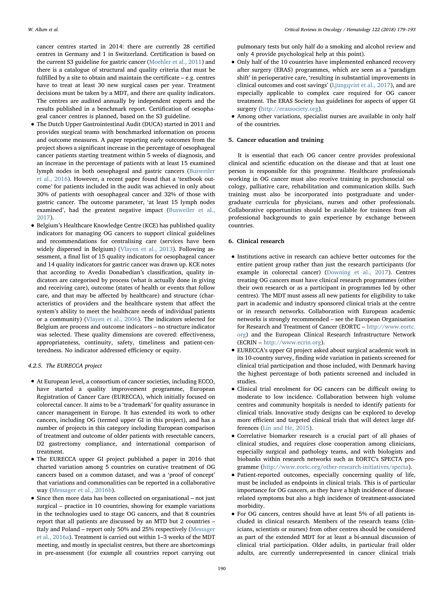cancer centres started in 2014: there are currently 28 certified centres in Germany and 1 in Switzerland. Certification is based on the current S3 guideline for gastric cancer [\(Moehler et al., 2011\)](#page-13-40) and there is a catalogue of structural and quality criteria that must be fulfilled by a site to obtain and maintain the certificate – e.g. centres have to treat at least 30 new surgical cases per year. Treatment decisions must be taken by a MDT, and there are quality indicators. The centres are audited annually by independent experts and the results published in a benchmark report. Certification of oesophageal cancer centres is planned, based on the S3 guideline.

- The Dutch Upper Gastrointestinal Audit (DUCA) started in 2011 and provides surgical teams with benchmarked information on process and outcome measures. A paper reporting early outcomes from the project shows a significant increase in the percentage of oesophageal cancer patients starting treatment within 5 weeks of diagnosis, and an increase in the percentage of patients with at least 15 examined lymph nodes in both oesophageal and gastric cancers [\(Busweiler](#page-12-33) [et al., 2016\)](#page-12-33). However, a recent paper found that a 'textbook outcome' for patients included in the audit was achieved in only about 30% of patients with oesophageal cancer and 32% of those with gastric cancer. The outcome parameter, 'at least 15 lymph nodes examined', had the greatest negative impact ([Busweiler et al.,](#page-12-34) [2017](#page-12-34)).
- Belgium's Healthcare Knowledge Centre (KCE) has published quality indicators for managing OG cancers to support clinical guidelines and recommendations for centralising care (services have been widely dispersed in Belgium) ([Vlayen et al., 2013\)](#page-14-5). Following assessment, a final list of 15 quality indicators for oesophageal cancer and 14 quality indicators for gastric cancer was drawn up. KCE notes that according to Avedis Donabedian's classification, quality indicators are categorised by process (what is actually done in giving and receiving care), outcome (states of health or events that follow care, and that may be affected by healthcare) and structure (characteristics of providers and the healthcare system that affect the system's ability to meet the healthcare needs of individual patients or a community) ([Vlayen et al., 2006\)](#page-13-41). The indicators selected for Belgium are process and outcome indicators – no structure indicator was selected. These quality dimensions are covered: effectiveness, appropriateness, continuity, safety, timeliness and patient-centeredness. No indicator addressed efficiency or equity.

#### 4.2.5. The EURECCA project

- At European level, a consortium of cancer societies, including ECCO, have started a quality improvement programme, European Registration of Cancer Care (EURECCA), which initially focused on colorectal cancer. It aims to be a 'trademark' for quality assurance in cancer management in Europe. It has extended its work to other cancers, including OG (termed upper GI in this project), and has a number of projects in this category including European comparison of treatment and outcome of older patients with resectable cancers, D2 gastrectomy compliance, and international comparison of treatment.
- The EURECCA upper GI project published a paper in 2016 that charted variation among 5 countries on curative treatment of OG cancers based on a common dataset, and was a 'proof of concept' that variations and commonalities can be reported in a collaborative way ([Messager et al., 2016b\)](#page-13-42).
- Since then more data has been collected on organisational not just surgical – practice in 10 countries, showing for example variations in the technologies used to stage OG cancers, and that 8 countries report that all patients are discussed by an MTD but 2 countries – Italy and Poland – report only 50% and 25% respectively [\(Messager](#page-13-4) [et al., 2016a\)](#page-13-4). Treatment is carried out within 1–3 weeks of the MDT meeting, and mostly in specialist centres, but there are shortcomings in pre-assessment (for example all countries report carrying out

pulmonary tests but only half do a smoking and alcohol review and only 4 provide psychological help at this point).

- Only half of the 10 countries have implemented enhanced recovery after surgery (ERAS) programmes, which are seen as a 'paradigm shift' in perioperative care, 'resulting in substantial improvements in clinical outcomes and cost savings' ([Ljungqvist et al., 2017](#page-13-43)), and are especially applicable to complex care required for OG cancer treatment. The ERAS Society has guidelines for aspects of upper GI surgery [\(http://erassociety.org](http://erassociety.org)).
- Among other variations, specialist nurses are available in only half of the countries.

#### 5. Cancer education and training

It is essential that each OG cancer centre provides professional clinical and scientific education on the disease and that at least one person is responsible for this programme. Healthcare professionals working in OG cancer must also receive training in psychosocial oncology, palliative care, rehabilitation and communication skills. Such training must also be incorporated into postgraduate and undergraduate curricula for physicians, nurses and other professionals. Collaborative opportunities should be available for trainees from all professional backgrounds to gain experience by exchange between countries.

#### 6. Clinical research

- Institutions active in research can achieve better outcomes for the entire patient group rather than just the research participants (for example in colorectal cancer) ([Downing et al., 2017](#page-12-35)). Centres treating OG cancers must have clinical research programmes (either their own research or as a participant in programmes led by other centres). The MDT must assess all new patients for eligibility to take part in academic and industry sponsored clinical trials at the centre or in research networks. Collaboration with European academic networks is strongly recommended – see the European Organisation for Research and Treatment of Cancer (EORTC – [http://www.eortc.](http://www.eortc.org) [org](http://www.eortc.org)) and the European Clinical Research Infrastructure Network (ECRIN – [http://www.ecrin.org\)](http://www.ecrin.org).
- EURECCA's upper GI project asked about surgical academic work in its 10-country survey, finding wide variation in patients screened for clinical trial participation and those included, with Denmark having the highest percentage of both patients screened and included in studies.
- Clinical trial enrolment for OG cancers can be difficult owing to moderate to low incidence. Collaboration between high volume centres and community hospitals is needed to identify patients for clinical trials. Innovative study designs can be explored to develop more efficient and targeted clinical trials that will detect large differences ([Lin and He, 2015](#page-13-44)).
- Correlative biomarker research is a crucial part of all phases of clinical studies, and requires close cooperation among clinicians, especially surgical and pathology teams, and with biologists and biobanks within research networks such as EORTC's SPECTA programme (<http://www.eortc.org/other-research-initiatives/specta>).
- Patient-reported outcomes, especially concerning quality of life, must be included as endpoints in clinical trials. This is of particular importance for OG cancers, as they have a high incidence of diseaserelated symptoms but also a high incidence of treatment-associated morbidity.
- For OG cancers, centres should have at least 5% of all patients included in clinical research. Members of the research teams (clinicians, scientists or nurses) from other centres should be considered as part of the extended MDT for at least a bi-annual discussion of clinical trial participation. Older adults, in particular frail older adults, are currently underrepresented in cancer clinical trials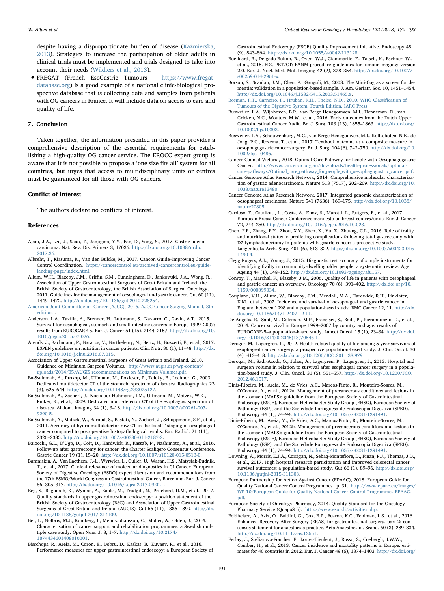despite having a disproportionate burden of disease (Kaź[mierska,](#page-13-45) [2013](#page-13-45)). Strategies to increase the participation of older adults in clinical trials must be implemented and trials designed to take into account their needs ([Wildiers et al., 2013](#page-14-6)).

• FREGAT (French EsoGastric Tumours – [https://www.fregat](https://www.fregat-database.org)[database.org](https://www.fregat-database.org)) is a good example of a national clinic-biological prospective database that is collecting data and samples from patients with OG cancers in France. It will include data on access to care and quality of life.

#### 7. Conclusion

Taken together, the information presented in this paper provides a comprehensive description of the essential requirements for establishing a high-quality OG cancer service. The ERQCC expert group is aware that it is not possible to propose a 'one size fits all' system for all countries, but urges that access to multidisciplinary units or centres must be guaranteed for all those with OG cancers.

#### Conflict of interest

The authors declare no conflicts of interest.

#### References

- <span id="page-12-23"></span>Ajani, J.A., Lee, J., Sano, T., Janjigian, Y.Y., Fan, D., Song, S., 2017. Gastric adenocarcinoma. Nat. Rev. Dis. Primers 3, 17036. [http://dx.doi.org/10.1038/nrdp.](http://dx.doi.org/10.1038/nrdp.2017.36) [2017.36.](http://dx.doi.org/10.1038/nrdp.2017.36)
- <span id="page-12-0"></span>Albreht, T., Kiasuma, R., Van den Bulcke, M., 2017. Cancon Guide–Improving Cancer Control Coordination. [https://cancercontrol.eu/archived/cancercontrol.eu/guide](https://cancercontrol.eu/archived/cancercontrol.eu/guide-landing-page/index.html)[landing-page/index.html.](https://cancercontrol.eu/archived/cancercontrol.eu/guide-landing-page/index.html)
- <span id="page-12-22"></span>Allum, W.H., Blazeby, J.M., Griffin, S.M., Cunningham, D., Jankowski, J.A., Wong, R., Association of Upper Gastrointestinal Surgeons of Great Britain and Ireland, the British Society of Gastroenterology, the British Association of Surgical Oncology, 2011. Guidelines for the management of oesophageal and gastric cancer. Gut 60 (11), 1449–1472. [http://dx.doi.org/10.1136/gut.2010.228254.](http://dx.doi.org/10.1136/gut.2010.228254)
- <span id="page-12-7"></span>[American Joint Committee on Cancer \(AJCC\), 2016. AJCC Cancer Staging Manual, 8th](http://refhub.elsevier.com/S1040-8428(17)30575-9/sbref0020) [edition.](http://refhub.elsevier.com/S1040-8428(17)30575-9/sbref0020) .
- <span id="page-12-5"></span>Anderson, L.A., Tavilla, A., Brenner, H., Luttmann, S., Navarro, C., Gavin, A.T., 2015. Survival for oesophageal, stomach and small intestine cancers in Europe 1999–2007: results from EUROCARE-5. Eur. J. Cancer 51 (15), 2144–2157. [http://dx.doi.org/10.](http://dx.doi.org/10.1016/j.ejca.2015.07.026) [1016/j.ejca.2015.07.026.](http://dx.doi.org/10.1016/j.ejca.2015.07.026)
- <span id="page-12-24"></span>Arends, J., Bachmann, P., Baracos, V., Barthelemy, N., Bertz, H., Bozzetti, F., et al., 2017. ESPEN guidelines on nutrition in cancer patients. Clin. Nutr. 36 (1), 11–48. [http://dx.](http://dx.doi.org/10.1016/j.clnu.2016.07.015) [doi.org/10.1016/j.clnu.2016.07.015.](http://dx.doi.org/10.1016/j.clnu.2016.07.015)
- <span id="page-12-14"></span>Association of Upper Gastrointestinal Surgeons of Great Britain and Ireland, 2010. Guidance on Minimum Surgeon Volumes. [http://www.augis.org/wp-content/](http://www.augis.org/wp-content/uploads/2014/05/AUGIS_recommendations_on_Minimum_Volumes.pdf) [uploads/2014/05/AUGIS\\_recommendations\\_on\\_Minimum\\_Volumes.pdf.](http://www.augis.org/wp-content/uploads/2014/05/AUGIS_recommendations_on_Minimum_Volumes.pdf)
- Ba-Ssalamah, A., Prokop, M., Uffmann, M., Pokieser, P., Teleky, B., Lechner, G., 2003. Dedicated multidetector CT of the stomach: spectrum of diseases. Radiographics 23 (3), 625–644. <http://dx.doi.org/10.1148/rg.233025127>.
- <span id="page-12-20"></span>Ba-Ssalamah, A., Zacherl, J., Noebauer-Huhmann, I.M., Uffmann, M., Matzek, W.K., Pinker, K., et al., 2009. Dedicated multi-detector CT of the esophagus: spectrum of diseases. Abdom. Imaging 34 (1), 3–18. [http://dx.doi.org/10.1007/s00261-007-](http://dx.doi.org/10.1007/s00261-007-9290-5) [9290-5.](http://dx.doi.org/10.1007/s00261-007-9290-5)
- Ba-Ssalamah, A., Matzek, W., Baroud, S., Bastati, N., Zacherl, J., Schoppmann, S.F., et al., 2011. Accuracy of hydro-multidetector row CT in the local T staging of oesophageal cancer compared to postoperative histopathological results. Eur. Radiol. 21 (11), 2326–2335. [http://dx.doi.org/10.1007/s00330-011-2187-2.](http://dx.doi.org/10.1007/s00330-011-2187-2)
- <span id="page-12-12"></span>Baiocchi, G.L., D'Ugo, D., Coit, D., Hardwick, R., Kassab, P., Nashimoto, A., et al., 2016. Follow-up after gastrectomy for cancer: the Charter Scaligero Consensus Conference. Gastric Cancer 19 (1), 15–20. <http://dx.doi.org/10.1007/s10120-015-0513-0>.
- <span id="page-12-19"></span>Baraniskin, A., Van Laethem, J.-L., Wyrwicz, L., Guller, U., Wasan, H.S., Matysiak-Budnik, T., et al., 2017. Clinical relevance of molecular diagnostics in GI Cancer: European Society of Digestive Oncology (ESDO) expert discussion and recommendations from the 17th ESMO/World Congress on Gastrointestinal Cancer, Barcelona. Eur. J. Cancer 86, 305–317. [http://dx.doi.org/10.1016/j.ejca.2017.09.021.](http://dx.doi.org/10.1016/j.ejca.2017.09.021)
- <span id="page-12-15"></span>Beg, S., Ragunath, K., Wyman, A., Banks, M., Trudgill, N., Pritchard, D.M., et al., 2017. Quality standards in upper gastrointestinal endoscopy: a position statement of the British Society of Gastroenterology (BSG) and Association of Upper Gastrointestinal Surgeons of Great Britain and Ireland (AUGIS). Gut 66 (11), 1886–1899. [http://dx.](http://dx.doi.org/10.1136/gutjnl-2017-314109) [doi.org/10.1136/gutjnl-2017-314109.](http://dx.doi.org/10.1136/gutjnl-2017-314109)
- <span id="page-12-32"></span>Ber, L., Nolbris, M.J., Koinberg, I., Melin-Johansson, C., Möller, A., Ohlén, J., 2014. Characterisation of cancer support and rehabilitation programmes: a Swedish multiple case study. Open Nurs. J. 8, 1–7. [http://dx.doi.org/10.2174/](http://dx.doi.org/10.2174/1874434601408010001) [1874434601408010001.](http://dx.doi.org/10.2174/1874434601408010001)
- <span id="page-12-16"></span>Bisschops, R., Areia, M., Coron, E., Dobru, D., Kaskas, B., Kuvaev, R., et al., 2016. Performance measures for upper gastrointestinal endoscopy: a European Society of

Gastrointestinal Endoscopy (ESGE) Quality Improvement Initiative. Endoscopy 48 (9), 843–864. [http://dx.doi.org/10.1055/s-0042-113128.](http://dx.doi.org/10.1055/s-0042-113128)

- <span id="page-12-21"></span>Boellaard, R., Delgado-Bolton, R., Oyen, W.J., Giammarile, F., Tatsch, K., Eschner, W., et al., 2015. FDG PET/CT: EANM procedure guidelines for tumour imaging: version 2.0. Eur. J. Nucl. Med. Mol. Imaging 42 (2), 328–354. [http://dx.doi.org/10.1007/](http://dx.doi.org/10.1007/s00259-014-2961-x) [s00259-014-2961-x.](http://dx.doi.org/10.1007/s00259-014-2961-x)
- <span id="page-12-28"></span>Borson, S., Scanlan, J.M., Chen, P., Ganguli, M., 2003. The Mini-Cog as a screen for dementia: validation in a population-based sample. J. Am. Geriatr. Soc. 10, 1451–1454. [http://dx.doi.org/10.1046/j.1532-5415.2003.51465.x.](http://dx.doi.org/10.1046/j.1532-5415.2003.51465.x)
- <span id="page-12-18"></span>[Bosman, F.T., Carneiro, F., Hruban, R.H., Theise, N.D., 2010. WHO Classi](http://refhub.elsevier.com/S1040-8428(17)30575-9/sbref0090)fication of [Tumours of the Digestive System, Fourth Edition. IARC Press.](http://refhub.elsevier.com/S1040-8428(17)30575-9/sbref0090)
- <span id="page-12-33"></span>Busweiler, L.A., Wijnhoven, B.P., van Berge Henegouwen, M.I., Henneman, D., van Grieken, N.C., Wouters, M.W., et al., 2016. Early outcomes from the Dutch Upper Gastrointestinal Cancer Audit. Br. J. Surg. 103 (13), 1855–1863. [http://dx.doi.org/](http://dx.doi.org/10.1002/bjs.10303) [10.1002/bjs.10303.](http://dx.doi.org/10.1002/bjs.10303)
- <span id="page-12-34"></span>Busweiler, L.A., Schouwenburg, M.G., van Berge Henegouwen, M.I., Kolfschoten, N.E., de Jong, P.C., Rozema, T., et al., 2017. Textbook outcome as a composite measure in oesophagogastric cancer surgery. Br. J. Surg. 104 (6), 742–750. [http://dx.doi.org/10.](http://dx.doi.org/10.1002/bjs.10486) [1002/bjs.10486.](http://dx.doi.org/10.1002/bjs.10486)
- <span id="page-12-9"></span>Cancer Council Victoria, 2018. Optimal Care Pathway for People with Oesophagogastric Cancer. [http://www.cancervic.org.au/downloads/health-professionals/optimal](http://www.cancervic.org.au/downloads/health-professionals/optimal-care-pathways/Optimal_care_pathway_for_people_with_oesophagogastric_cancer.pdf)[care-pathways/Optimal\\_care\\_pathway\\_for\\_people\\_with\\_oesophagogastric\\_cancer.pdf.](http://www.cancervic.org.au/downloads/health-professionals/optimal-care-pathways/Optimal_care_pathway_for_people_with_oesophagogastric_cancer.pdf)
- <span id="page-12-3"></span>Cancer Genome Atlas Research Network, 2014. Comprehensive molecular characterization of gastric adenocarcinoma. Nature 513 (7517), 202–209. [http://dx.doi.org/10.](http://dx.doi.org/10.1038/nature13480) [1038/nature13480](http://dx.doi.org/10.1038/nature13480).
- <span id="page-12-2"></span>Cancer Genome Atlas Research Network, 2017. Integrated genomic characterization of oesophageal carcinoma. Nature 541 (7636), 169–175. [http://dx.doi.org/10.1038/](http://dx.doi.org/10.1038/nature20805) [nature20805.](http://dx.doi.org/10.1038/nature20805)
- <span id="page-12-1"></span>Cardoso, F., Cataliotti, L., Costa, A., Knox, S., Marotti, L., Rutgers, E., et al., 2017. European Breast Cancer Conference manifesto on breast centres/units. Eur. J. Cancer 72, 244–250. [http://dx.doi.org/10.1016/j.ejca.2016.10.023.](http://dx.doi.org/10.1016/j.ejca.2016.10.023)
- <span id="page-12-26"></span>Chen, F.F., Zhang, F.Y., Zhou, X.Y., Shen, X., Yu, Z., Zhuang, C.L., 2016. Role of frailty and nutritional status in predicting complications following total gastrectomy with D2 lymphadenectomy in patients with gastric cancer: a prospective study. Langenbecks Arch. Surg. 401 (6), 813–822. [http://dx.doi.org/10.1007/s00423-016-](http://dx.doi.org/10.1007/s00423-016-1490-4) [1490-4.](http://dx.doi.org/10.1007/s00423-016-1490-4)
- <span id="page-12-27"></span>Clegg Rogers, A.L., Young, J., 2015. Diagnostic test accuracy of simple instruments for identifying frailty in community-dwelling older people: a systematic review. Age Ageing 44 (1), 148–152. [http://dx.doi.org/10.1093/ageing/afu157.](http://dx.doi.org/10.1093/ageing/afu157)
- <span id="page-12-30"></span>Conroy, T., Marchal, F., Blazeby, J.M., 2006. Quality of life in patients with oesophageal and gastric cancer: an overview. Oncology 70 (6), 391–402. [http://dx.doi.org/10.](http://dx.doi.org/10.1159/000099034) [1159/000099034](http://dx.doi.org/10.1159/000099034).
- <span id="page-12-11"></span>Coupland, V.H., Allum, W., Blazeby, J.M., Mendall, M.A., Hardwick, R.H., Linklater, K.M., et al., 2007. Incidence and survival of oesophageal and gastric cancer in England between 1998 and a population-based study. BMC Cancer 12, 11. [http://dx.](http://dx.doi.org/10.1186/1471-2407-12-11) [doi.org/10.1186/1471-2407-12-11](http://dx.doi.org/10.1186/1471-2407-12-11).
- <span id="page-12-8"></span>De Angelis, R., Sant, M., Coleman, M.P., Francisci, S., Baili, P., Pierannunzio, D., et al., 2014. Cancer survival in Europe 1999–2007 by country and age: results of EUROCARE-5–a population-based study. Lancet Oncol. 15 (1), 23–34. [http://dx.doi.](http://dx.doi.org/10.1016/S1470-2045(13)70546-1) [org/10.1016/S1470-2045\(13\)70546-1](http://dx.doi.org/10.1016/S1470-2045(13)70546-1).
- <span id="page-12-31"></span>Derogar, M., Lagergren, P., 2012. Health-related quality of life among 5-year survivors of esophageal cancer surgery: a prospective population-based study. J. Clin. Oncol. 30 (4), 413–418. <http://dx.doi.org/10.1200/JCO.2011.38.9791>.
- <span id="page-12-13"></span>Derogar, M., Sadr-Azodi, O., Johar, A., Lagergren, P., Lagergren, J., 2013. Hospital and surgeon volume in relation to survival after esophageal cancer surgery in a population-based study. J. Clin. Oncol. 31 (5), 551–557. [http://dx.doi.org/10.1200/JCO.](http://dx.doi.org/10.1200/JCO.2012.46.1517) [2012.46.1517](http://dx.doi.org/10.1200/JCO.2012.46.1517).
- <span id="page-12-6"></span>Dinis-Ribeiro, M., Areia, M., de Vries, A.C., Marcos-Pinto, R., Monteiro-Soares, M., O'Connor, A., et al., 2012a. Management of precancerous conditions and lesions in the stomach (MAPS): guideline from the European Society of Gastrointestinal Endoscopy (ESGE), European Helicobacter Study Group (EHSG), European Society of Pathology (ESP), and the Sociedade Portuguesa de Endoscopia Digestiva (SPED). Endoscopy 44 (1), 74–94. <http://dx.doi.org/10.1055/s-0031-1291491>.
- <span id="page-12-17"></span>Dinis-Ribeiro, M., Areia, M., de Vries, A.C., Marcos-Pinto, R., Monteiro-Soares, M., O'Connor, A., et al., 2012b. Management of precancerous conditions and lesions in the stomach (MAPS): guideline from the European Society of Gastrointestinal Endoscopy (ESGE), European Helicobacter Study Group (EHSG), European Society of Pathology (ESP), and the Sociedade Portuguesa de Endoscopia Digestiva (SPED). Endoscopy 44 (1), 74–94. <http://dx.doi.org/10.1055/s-0031-1291491>.
- <span id="page-12-35"></span>Downing, A., Morris, E.J.A., Corrigan, N., Sebag-Montefiore, D., Finan, P.J., Thomas, J.D., et al., 2017. High hospital research participation and improved colorectal cancer survival outcomes: a population-based study. Gut 66 (1), 89-96. [http://dx.doi.org/](http://dx.doi.org/10.1136/gutjnl-2015-311308) [10.1136/gutjnl-2015-311308](http://dx.doi.org/10.1136/gutjnl-2015-311308).
- <span id="page-12-10"></span>European Partnership for Action Against Cancer (EPAAC), 2018. European Guide for Quality National Cancer Control Programmes. p. 31. [http://www.epaac.eu/images/](http://www.epaac.eu/images/WP_10/European_Guide_for_Quality_National_Cancer_Control_Programmes_EPAAC.pdf) [WP\\_10/European\\_Guide\\_for\\_Quality\\_National\\_Cancer\\_Control\\_Programmes\\_EPAAC.](http://www.epaac.eu/images/WP_10/European_Guide_for_Quality_National_Cancer_Control_Programmes_EPAAC.pdf) [pdf.](http://www.epaac.eu/images/WP_10/European_Guide_for_Quality_National_Cancer_Control_Programmes_EPAAC.pdf)
- <span id="page-12-29"></span>European Society of Oncology Pharmacy, 2014. Quality Standard for the Oncology Pharmacy Service (QuapoS 5). <http://www.esop.li/activities.php>.
- <span id="page-12-25"></span>Feldheiser, A., Aziz, O., Baldini, G., Cox, B.P., Fearon, K.C., Feldman, L.S., et al., 2016. Enhanced Recovery After Surgery (ERAS) for gastrointestinal surgery, part 2: consensus statement for anaesthesia practice. Acta Anaesthesiol. Scand. 60 (3), 289–334. <http://dx.doi.org/10.1111/aas.12651>.
- <span id="page-12-4"></span>Ferlay, J., Steliarova-Foucher, E., Lortet-Tieulent, J., Rosso, S., Coebergh, J.W.W., Comber, H., et al., 2013. Cancer incidence and mortality patterns in Europe: estimates for 40 countries in 2012. Eur. J. Cancer 49 (6), 1374–1403. [http://dx.doi.org/](http://dx.doi.org/10.1016/j.ejca.2012.12.027)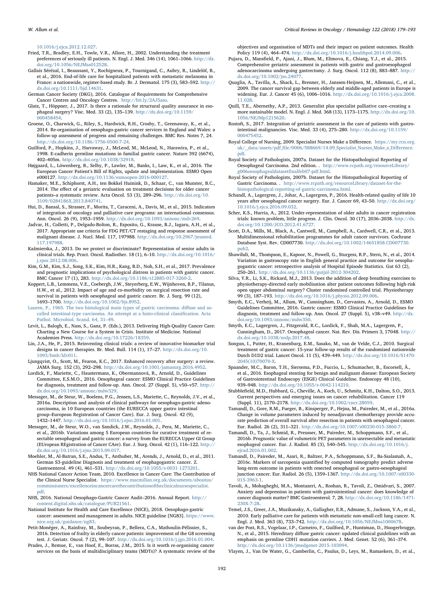[10.1016/j.ejca.2012.12.027.](http://dx.doi.org/10.1016/j.ejca.2012.12.027)

- <span id="page-13-31"></span>Fried, T.R., Bradley, E.H., Towle, V.R., Allore, H., 2002. Understanding the treatment preferences of seriously ill patients. N. Engl. J. Med. 346 (14), 1061–1066. [http://dx.](http://dx.doi.org/10.1056/NEJMsa012528) [doi.org/10.1056/NEJMsa012528.](http://dx.doi.org/10.1056/NEJMsa012528)
- <span id="page-13-26"></span>Gallais Sérézal, I., Beaussant, Y., Rochigneux, P., Tournigand, C., Aubry, R., Lindelöf, B., et al., 2016. End-of-life care for hospitalized patients with metastatic melanoma in France: a nationwide, register-based study. Br. J. Dermatol. 175 (3), 583–592. [http://](http://dx.doi.org/10.1111/bjd.14631) [dx.doi.org/10.1111/bjd.14631.](http://dx.doi.org/10.1111/bjd.14631)
- <span id="page-13-12"></span>German Cancer Society (DKG), 2016. Catalogue of Requirements for Comprehensive Cancer Centres and Oncology Centres. <http://bit.ly/2AJ5aso>.
- <span id="page-13-9"></span>Glatz, T., Höppner, J., 2017. Is there a rationale for structural quality assurance in esophageal surgery? Visc. Med. 33 (2), 135–139. [http://dx.doi.org/10.1159/](http://dx.doi.org/10.1159/000458454) [000458454.](http://dx.doi.org/10.1159/000458454)
- <span id="page-13-39"></span>Groene, O., Charwick, G., Riley, S., Hardwick, R.H., Crosby, T., Greenaway, K., et al., 2014. Re-organisation of oesophago-gastric cancer services in England and Wales: a follow-up assessment of progress and remaining challenges. BMC Res. Notes 7, 24. <http://dx.doi.org/10.1186/1756-0500-7-24>.
- <span id="page-13-3"></span>Guilford, P., Hopkins, J., Harraway, J., McLeod, M., McLeod, N., Harawira, P., et al., 1998. E-cadherin germline mutations in familial gastric cancer. Nature 392 (6674), 402–405m. <http://dx.doi.org/10.1038/32918>.
- <span id="page-13-1"></span>Højgaard, L., Löwenberg, B., Selby, P., Lawler, M., Banks, I., Law, K., et al., 2016. The European Cancer Patient's Bill of Rights, update and implementation. ESMO Open e000127. <http://dx.doi.org/10.1136/esmoopen-2016-000127>.
- <span id="page-13-30"></span>Hamaker, M.E., Schiphorst, A.H., ten Bokkel Huinink, D., Schaar, C., van Munster, B.C., 2014. The effect of a geriatric evaluation on treatment decisions for older cancer patients–a systematic review. Acta Oncol. 53 (3), 289–296. [http://dx.doi.org/10.](http://dx.doi.org/10.3109/0284186X.2013.840741) [3109/0284186X.2013.840741.](http://dx.doi.org/10.3109/0284186X.2013.840741)
- <span id="page-13-24"></span>Hui, D., Bansal, S., Strasser, F., Morita, T., Caraceni, A., Davis, M., et al., 2015. Indicators of integration of oncology and palliative care programs: an international consensus. Ann. Oncol. 26 (9), 1953–1959. [http://dx.doi.org/10.1093/annonc/mdv269.](http://dx.doi.org/10.1093/annonc/mdv269)
- <span id="page-13-18"></span>Jadvar, H., Colletti, P., Delgado-Bolton, R., Esposito, G., Krause, B.J., Iagaru, A.H., et al., 2017. Appropriate use criteria for FDG PET/CT restaging and response assessment of malignant disease. J. Nucl. Med. 117, 197988. [http://dx.doi.org/10.2967/jnumed.](http://dx.doi.org/10.2967/jnumed.117.197988) [117.197988.](http://dx.doi.org/10.2967/jnumed.117.197988)
- <span id="page-13-45"></span>Kaźmierska, J., 2013. Do we protect or discriminate? Representation of senior adults in clinical trials. Rep. Pract. Oncol. Radiother. 18 (1), 6–10. [http://dx.doi.org/10.1016/](http://dx.doi.org/10.1016/j.rpor.2012.08.006) [j.rpor.2012.08.006.](http://dx.doi.org/10.1016/j.rpor.2012.08.006)
- <span id="page-13-33"></span>Kim, G.M., Kim, S.J., Song, S.K., Kim, H.R., Kang, B.D., Noh, S.H., et al., 2017. Prevalence and prognostic implications of psychological distress in patients with gastric cancer. BMC Cancer 17 (1), 283. <http://dx.doi.org/10.1186/s12885-017-3260-2>.
- <span id="page-13-27"></span>Koppert, L.B., Lemmens, V.E., Coebergh, J.W., Steyerberg, E.W., Wijnhoven, B.P., Tilanus, H.W., et al., 2012. Impact of age and co-morbidity on surgical resection rate and survival in patients with oesophageal and gastric cancer. Br. J. Surg. 99 (12), 1693–1700. <http://dx.doi.org/10.1002/bjs.8952>.
- <span id="page-13-14"></span>[Lauren, P., 1965. The two histological main types of gastric carcinoma: di](http://refhub.elsevier.com/S1040-8428(17)30575-9/sbref0260)ffuse and so[called intestinal-type carcinoma. An attempt at a histo-clinical classi](http://refhub.elsevier.com/S1040-8428(17)30575-9/sbref0260)fication. Acta [Pathol. Microbiol. Scand. 64, 31](http://refhub.elsevier.com/S1040-8428(17)30575-9/sbref0260)–49.
- <span id="page-13-0"></span>Levit, L., Balogh, E., Nass, S., Ganz, P. (Eds.), 2013. Delivering High-Quality Cancer Care: Charting a New Course for a System in Crisis. Institute of Medicine. National Academies Press. [http://dx.doi.org/10.17226/18359.](http://dx.doi.org/10.17226/18359)
- <span id="page-13-44"></span>Lin, J.A., He, P., 2015. Reinventing clinical trials: a review of innovative biomarker trial designs in cancer therapies. Br. Med. Bull. 114 (1), 17–27. [http://dx.doi.org/10.](http://dx.doi.org/10.1093/bmb/ldv011) [1093/bmb/ldv011](http://dx.doi.org/10.1093/bmb/ldv011).
- <span id="page-13-43"></span>Ljungqvist, O., Scott, M., Fearon, K.C., 2017. Enhanced recovery after surgery: a review. JAMA Surg. 152 (3), 292–298. <http://dx.doi.org/10.1001/jamasurg.2016.4952>.
- <span id="page-13-19"></span>Lordick, F., Mariette, C., Haustermans, K., Obermannová, R., Arnold, D., Guidelines Committee, E.S.M.O., 2016. Oesophageal cancer: ESMO Clinical Practice Guidelines for diagnosis, treatment and follow-up. Ann. Oncol. 27 (Suppl. 5), v50–v57. [http://](http://dx.doi.org/10.1093/annonc/mdw329) [dx.doi.org/10.1093/annonc/mdw329](http://dx.doi.org/10.1093/annonc/mdw329).
- <span id="page-13-4"></span>Messager, M., de Steur, W., Boelens, P.G., Jensen, L.S., Mariette, C., Reynolds, J.V., et al., 2016a. Description and analysis of clinical pathways for oesophago-gastric adenocarcinoma, in 10 European countries (the EURECCA upper gastro intestinal group–European Registration of Cancer Care). Eur. J. Surg. Oncol. 42 (9), 1432–1447. [http://dx.doi.org/10.1016/j.ejso.2016.01.001.](http://dx.doi.org/10.1016/j.ejso.2016.01.001)
- <span id="page-13-42"></span>Messager, M., de Steur, W.O., van Sandick, J.W., Reynolds, J., Pera, M., Mariette, C., et al., 2016b. Variations among 5 European countries for curative treatment of resectable oesophageal and gastric cancer: a survey from the EURECCA Upper GI Group (EUropean REgistration of Cancer CAre). Eur. J. Surg. Oncol. 42 (1), 116–122. [http://](http://dx.doi.org/10.1016/j.ejso.2015.09.017) [dx.doi.org/10.1016/j.ejso.2015.09.017](http://dx.doi.org/10.1016/j.ejso.2015.09.017).
- <span id="page-13-40"></span>Moehler, M., Al-Batran, S.E., Andus, T., Anthuber, M., Arends, J., Arnold, D., et al., 2011. German S3-guideline Diagnosis and treatment of esophagogastric cancer. Z. Gastroenterol. 49 (4), 461–531. [http://dx.doi.org/10.1055/s-0031-1273201.](http://dx.doi.org/10.1055/s-0031-1273201)
- <span id="page-13-21"></span>NHS National Cancer Action Team, 2010. Excellence in Cancer Care: The Contribution of the Clinical Nurse Specialist. [https://www.macmillan.org.uk/documents/aboutus/](https://www.macmillan.org.uk/documents/aboutus/commissioners/excellenceincancercarethecontributionoftheclinicalnursespecialist.pdf) [commissioners/excellenceincancercarethecontributionoftheclinicalnursespecialist.](https://www.macmillan.org.uk/documents/aboutus/commissioners/excellenceincancercarethecontributionoftheclinicalnursespecialist.pdf) [pdf.](https://www.macmillan.org.uk/documents/aboutus/commissioners/excellenceincancercarethecontributionoftheclinicalnursespecialist.pdf)
- <span id="page-13-20"></span>NHS, 2016. National Oesophago-Gastric Cancer Audit–2016. Annual Report. [http://](http://content.digital.nhs.uk/catalogue/PUB21561) [content.digital.nhs.uk/catalogue/PUB21561](http://content.digital.nhs.uk/catalogue/PUB21561).
- <span id="page-13-8"></span>National Institute for Health and Care Excellence (NICE), 2018. Oesophago-gastric cancer: assessment and management in adults. NICE guideline [NG83]. [https://www.](https://www.nice.org.uk/guidance/ng83) [nice.org.uk/guidance/ng83.](https://www.nice.org.uk/guidance/ng83)
- <span id="page-13-32"></span>Petit-Monéger, A., Rainfray, M., Soubeyran, P., Bellera, C.A., Mathoulin-Pélissier, S., 2016. Detection of frailty in elderly cancer patients: improvement of the G8 screening test. J. Geriatr. Oncol. 7 (2), 99–107. [http://dx.doi.org/10.1016/j.jgo.2016.01.004.](http://dx.doi.org/10.1016/j.jgo.2016.01.004)
- <span id="page-13-2"></span>Prades, J., Remue, E., van Hoof, E., Borras, J.M., 2015. Is it worth re-organising cancer services on the basis of multidisciplinary teams (MDTs)? A systematic review of the

objectives and organisation of MDTs and their impact on patient outcomes. Health Policy 119 (4), 464–474. [http://dx.doi.org/10.1016/j.healthpol.2014.09.006.](http://dx.doi.org/10.1016/j.healthpol.2014.09.006)

- <span id="page-13-28"></span>Pujara, D., Mansfield, P., Ajani, J., Blum, M., Elimova, E., Chiang, Y.J., et al., 2015. Comprehensive geriatric assessment in patients with gastric and gastroesophageal adenocarcinoma undergoing gastrectomy. J. Surg. Oncol. 112 (8), 883–887. [http://](http://dx.doi.org/10.1002/jso.24077) [dx.doi.org/10.1002/jso.24077](http://dx.doi.org/10.1002/jso.24077).
- <span id="page-13-5"></span>Quaglia, A., Tavilla, A., Shack, L., Brenner, H., Janssen-Heijnen, M., Allemani, C., et al., 2009. The cancer survival gap between elderly and middle-aged patients in Europe is widening. Eur. J. Cancer 45 (6), 1006–1016. [http://dx.doi.org/10.1016/j.ejca.2008.](http://dx.doi.org/10.1016/j.ejca.2008.11.028) [11.028](http://dx.doi.org/10.1016/j.ejca.2008.11.028).
- <span id="page-13-25"></span>Quill, T.E., Abernethy, A.P., 2013. Generalist plus specialist palliative care–creating a more sustainable model. N. Engl. J. Med. 368 (13), 1173–1175. [http://dx.doi.org/10.](http://dx.doi.org/10.1056/NEJMp1215620) [1056/NEJMp1215620.](http://dx.doi.org/10.1056/NEJMp1215620)
- <span id="page-13-29"></span>Rostoft, S., 2017. Integration of geriatric assessment in the care of patients with gastrointestinal malignancies. Visc. Med. 33 (4), 275–280. [http://dx.doi.org/10.1159/](http://dx.doi.org/10.1159/000475452) [000475452.](http://dx.doi.org/10.1159/000475452)
- <span id="page-13-22"></span>Royal College of Nursing, 2009. Specialist Nurses Make a Difference. [https://my.rcn.org.](https://my.rcn.org.uk/__data/assets/pdf_file/0006/588669/14.09_Specialist_Nurses_Make_a_Difference.pdf) uk/\_\_data/assets/pdf\_fi[le/0006/588669/14.09\\_Specialist\\_Nurses\\_Make\\_a\\_Di](https://my.rcn.org.uk/__data/assets/pdf_file/0006/588669/14.09_Specialist_Nurses_Make_a_Difference.pdf)fference. [pdf.](https://my.rcn.org.uk/__data/assets/pdf_file/0006/588669/14.09_Specialist_Nurses_Make_a_Difference.pdf)
- <span id="page-13-15"></span>Royal Society of Pathologists, 2007a. Dataset for the Histopathological Reporting of Oesophageal Carcinoma. 2nd edition. . [http://www.rcpath.org/resourceLibrary/](http://www.rcpath.org/resourceLibrary/g006oesophagealdatasetfinalfeb07-pdf.html) [g006oesophagealdataset](http://www.rcpath.org/resourceLibrary/g006oesophagealdatasetfinalfeb07-pdf.html)finalfeb07-pdf.html.
- Royal Society of Pathologists, 2007b. Dataset for the Histopathological Reporting of Gastric Carcinoma. . [http://www.rcpath.org/resourceLibrary/dataset-for-the](http://www.rcpath.org/resourceLibrary/dataset-for-the-histopathological-reporting-of-gastric-carcinoma.html)[histopathological-reporting-of-gastric-carcinoma.html](http://www.rcpath.org/resourceLibrary/dataset-for-the-histopathological-reporting-of-gastric-carcinoma.html).
- <span id="page-13-36"></span>Schandl, A., Lagergren, J., Johar, A., Lagergren, P., 2016. Health-related quality of life 10 years after oesophageal cancer surgery. Eur. J. Cancer 69, 43–50. [http://dx.doi.org/](http://dx.doi.org/10.1016/j.ejca.2016.09.032) [10.1016/j.ejca.2016.09.032.](http://dx.doi.org/10.1016/j.ejca.2016.09.032)
- <span id="page-13-6"></span>Scher, K.S., Hurria, A., 2012. Under-representation of older adults in cancer registration trials: known problem, little progress. J. Clin. Oncol. 30 (17), 2036–2038. [http://dx.](http://dx.doi.org/10.1200/JCO.2012.41.6727) [doi.org/10.1200/JCO.2012.41.6727](http://dx.doi.org/10.1200/JCO.2012.41.6727).
- <span id="page-13-38"></span>Scott, D.A., Mills, M., Black, A., Cantwell, M., Campbell, A., Cardwell, C.R., et al., 2013. Multidimensional rehabilitation programmes for adult cancer survivors. Cochrane Database Syst. Rev. CD007730. [http://dx.doi.org/10.1002/14651858.CD007730.](http://dx.doi.org/10.1002/14651858.CD007730.pub2) [pub2.](http://dx.doi.org/10.1002/14651858.CD007730.pub2)
- <span id="page-13-7"></span>Shawihdi, M., Thompson, E., Kapoor, N., Powell, G., Sturgess, R.P., Stern, N., et al., 2014. Variation in gastroscopy rate in English general practice and outcome for oesophagogastric cancer: retrospective analysis of Hospital Episode Statistics. Gut 63 (2), 250–261. [http://dx.doi.org/10.1136/gutjnl-2012-304202.](http://dx.doi.org/10.1136/gutjnl-2012-304202)
- <span id="page-13-35"></span>Silva, Y.R., Li, S.K., Rickard, M.J., 2013. Does the addition of deep breathing exercises to physiotherapy-directed early mobilisation alter patient outcomes following high-risk open upper abdominal surgery? Cluster randomised controlled trial. Physiotherapy 99 (3), 187–193. <http://dx.doi.org/10.1016/j.physio.2012.09.006>.
- <span id="page-13-10"></span>Smyth, E.C., Verheij, M., Allum, W., Cunningham, D., Cervantes, A., Arnold, D., ESMO Guidelines Committee, 2016. Gastric cancer: ESMO Clinical Practice Guidelines for diagnosis, treatment and follow-up. Ann. Oncol. 27 (Suppl. 5), v38–v49. [http://dx.](http://dx.doi.org/10.1093/annonc/mdw350) [doi.org/10.1093/annonc/mdw350.](http://dx.doi.org/10.1093/annonc/mdw350)
- Smyth, E.C., Lagergren, J., Fitzgerald, R.C., Lordick, F., Shah, M.A., Lagergren, P., Cunningham, D., 2017. Oesophageal cancer. Nat. Rev. Dis. Primers 3, 17048. [http://](http://dx.doi.org/10.1038/nrdp.2017.48) [dx.doi.org/10.1038/nrdp.2017.48](http://dx.doi.org/10.1038/nrdp.2017.48).
- <span id="page-13-11"></span>Songun, I., Putter, H., Kranenbarg, E.M., Sasako, M., van de Velde, C.J., 2010. Surgical treatment of gastric cancer: 15-year follow-up results of the randomised nationwide Dutch D1D2 trial. Lancet Oncol. 11 (5), 439–449. [http://dx.doi.org/10.1016/S1470-](http://dx.doi.org/10.1016/S1470-2045(10)70070-X) [2045\(10\)70070-X.](http://dx.doi.org/10.1016/S1470-2045(10)70070-X)
- <span id="page-13-13"></span>Spaander, M.C., Baron, T.H., Siersema, P.D., Fuccio, L., Schumacher, B., Escorsell, À., et al., 2016. Esophageal stenting for benign and malignant disease: European Society of Gastrointestinal Endoscopy (ESGE) Clinical Guideline. Endoscopy 48 (10), 939–948. [http://dx.doi.org/10.1055/s-0042-114210.](http://dx.doi.org/10.1055/s-0042-114210)
- <span id="page-13-37"></span>Stubblefield, M.D., Hubbard, G., Cheville, A., Koch, U., Schmitz, K.H., Dalton, S.O., 2013. Current perspectives and emerging issues on cancer rehabilitation. Cancer 119 (Suppl. 11), 2170–2178. [http://dx.doi.org/10.1002/cncr.28059.](http://dx.doi.org/10.1002/cncr.28059)
- <span id="page-13-17"></span>Tamandl, D., Gore, R.M., Fueger, B., Kinsperger, P., Hejna, M., Paireder, M., et al., 2016a. Change in volume parameters induced by neoadjuvant chemotherapy provide accurate prediction of overall survival after resection in patients with oesophageal cancer. Eur. Radiol. 26 (2), 311–321. [http://dx.doi.org/10.1007/s00330-015-3860-7.](http://dx.doi.org/10.1007/s00330-015-3860-7)
- Tamandl, D., Ta, J., Schmid, R., Preusser, M., Paireder, M., Schoppmann, S.F., et al., 2016b. Prognostic value of volumetric PET parameters in unresectable and metastatic esophageal cancer. Eur. J. Radiol. 85 (3), 540–545. [http://dx.doi.org/10.1016/j.](http://dx.doi.org/10.1016/j.ejrad.2016.01.002) [ejrad.2016.01.002.](http://dx.doi.org/10.1016/j.ejrad.2016.01.002)
- Tamandl, D., Paireder, M., Asari, R., Baltzer, P.A., Schoppmann, S.F., Ba-Ssalamah, A., 2016c. Markers of sarcopenia quantified by computed tomography predict adverse long-term outcome in patients with resected oesophageal or gastro-oesophageal junction cancer. Eur. Radiol. 26 (5), 1359–1367. [http://dx.doi.org/10.1007/s00330-](http://dx.doi.org/10.1007/s00330-015-3963-1) [015-3963-1](http://dx.doi.org/10.1007/s00330-015-3963-1).
- <span id="page-13-34"></span>Tavoli, A., Mohagheghi, M.A., Montazeri, A., Roshan, R., Tavoli, Z., Omidvari, S., 2007. Anxiety and depression in patients with gastrointestinal cancer: does knowledge of cancer diagnosis matter? BMC Gastroenterol. 7, 28. [http://dx.doi.org/10.1186/1471-](http://dx.doi.org/10.1186/1471-230X-7-28) [230X-7-28](http://dx.doi.org/10.1186/1471-230X-7-28).
- <span id="page-13-23"></span>Temel, J.S., Greer, J.A., Muzikansky, A., Gallagher, E.R., Admane, S., Jackson, V.A., et al., 2010. Early palliative care for patients with metastatic non-small-cell lung cancer. N. Engl. J. Med. 363 (8), 733–742. [http://dx.doi.org/10.1056/NEJMoa1000678.](http://dx.doi.org/10.1056/NEJMoa1000678)
- <span id="page-13-16"></span>van der Post, R.S., Vogelaar, I.P., Carneiro, F., Guilford, P., Huntsman, D., Hoogerbrugge, N., et al., 2015. Hereditary diffuse gastric cancer: updated clinical guidelines with an emphasis on germline CDH1 mutation carriers. J. Med. Genet. 52 (6), 361–374. [http://dx.doi.org/10.1136/jmedgenet-2015-103094.](http://dx.doi.org/10.1136/jmedgenet-2015-103094)
- <span id="page-13-41"></span>Vlayen, J., Van De Water, G., Camberlin, C., Paulus, D., Leys, M., Ramaekers, D., et al.,